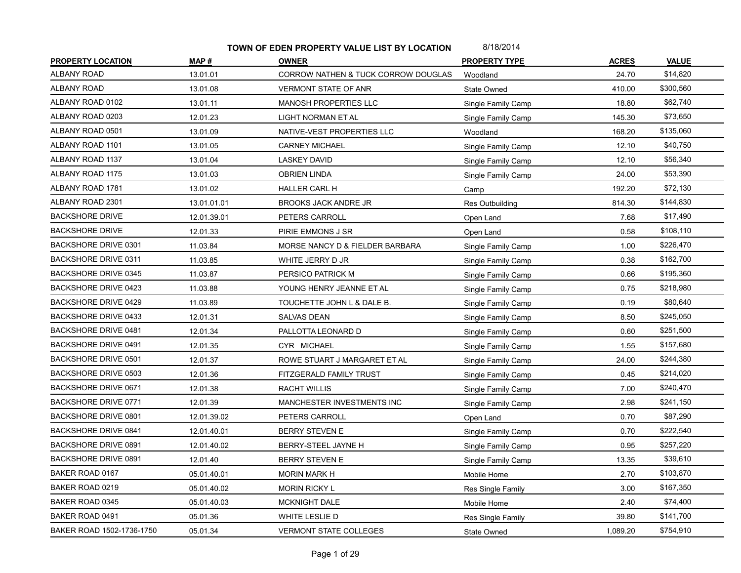| <b>PROPERTY LOCATION</b>    | MAP#        | <b>OWNER</b>                        | <b>PROPERTY TYPE</b> | <b>ACRES</b> | <b>VALUE</b> |
|-----------------------------|-------------|-------------------------------------|----------------------|--------------|--------------|
| <b>ALBANY ROAD</b>          | 13.01.01    | CORROW NATHEN & TUCK CORROW DOUGLAS | Woodland             | 24.70        | \$14,820     |
| ALBANY ROAD                 | 13.01.08    | <b>VERMONT STATE OF ANR</b>         | State Owned          | 410.00       | \$300,560    |
| ALBANY ROAD 0102            | 13.01.11    | MANOSH PROPERTIES LLC               | Single Family Camp   | 18.80        | \$62,740     |
| ALBANY ROAD 0203            | 12.01.23    | LIGHT NORMAN ET AL                  | Single Family Camp   | 145.30       | \$73,650     |
| ALBANY ROAD 0501            | 13.01.09    | NATIVE-VEST PROPERTIES LLC          | Woodland             | 168.20       | \$135,060    |
| ALBANY ROAD 1101            | 13.01.05    | <b>CARNEY MICHAEL</b>               | Single Family Camp   | 12.10        | \$40,750     |
| ALBANY ROAD 1137            | 13.01.04    | <b>LASKEY DAVID</b>                 | Single Family Camp   | 12.10        | \$56,340     |
| ALBANY ROAD 1175            | 13.01.03    | <b>OBRIEN LINDA</b>                 | Single Family Camp   | 24.00        | \$53,390     |
| ALBANY ROAD 1781            | 13.01.02    | <b>HALLER CARL H</b>                | Camp                 | 192.20       | \$72,130     |
| ALBANY ROAD 2301            | 13.01.01.01 | <b>BROOKS JACK ANDRE JR</b>         | Res Outbuilding      | 814.30       | \$144,830    |
| <b>BACKSHORE DRIVE</b>      | 12.01.39.01 | PETERS CARROLL                      | Open Land            | 7.68         | \$17,490     |
| <b>BACKSHORE DRIVE</b>      | 12.01.33    | PIRIE EMMONS J SR                   | Open Land            | 0.58         | \$108,110    |
| BACKSHORE DRIVE 0301        | 11.03.84    | MORSE NANCY D & FIELDER BARBARA     | Single Family Camp   | 1.00         | \$226,470    |
| <b>BACKSHORE DRIVE 0311</b> | 11.03.85    | WHITE JERRY D JR                    | Single Family Camp   | 0.38         | \$162,700    |
| <b>BACKSHORE DRIVE 0345</b> | 11.03.87    | PERSICO PATRICK M                   | Single Family Camp   | 0.66         | \$195,360    |
| <b>BACKSHORE DRIVE 0423</b> | 11.03.88    | YOUNG HENRY JEANNE ET AL            | Single Family Camp   | 0.75         | \$218,980    |
| <b>BACKSHORE DRIVE 0429</b> | 11.03.89    | TOUCHETTE JOHN L & DALE B.          | Single Family Camp   | 0.19         | \$80,640     |
| BACKSHORE DRIVE 0433        | 12.01.31    | <b>SALVAS DEAN</b>                  | Single Family Camp   | 8.50         | \$245,050    |
| <b>BACKSHORE DRIVE 0481</b> | 12.01.34    | PALLOTTA LEONARD D                  | Single Family Camp   | 0.60         | \$251,500    |
| <b>BACKSHORE DRIVE 0491</b> | 12.01.35    | CYR MICHAEL                         | Single Family Camp   | 1.55         | \$157,680    |
| <b>BACKSHORE DRIVE 0501</b> | 12.01.37    | ROWE STUART J MARGARET ET AL        | Single Family Camp   | 24.00        | \$244,380    |
| BACKSHORE DRIVE 0503        | 12.01.36    | FITZGERALD FAMILY TRUST             | Single Family Camp   | 0.45         | \$214,020    |
| <b>BACKSHORE DRIVE 0671</b> | 12.01.38    | <b>RACHT WILLIS</b>                 | Single Family Camp   | 7.00         | \$240,470    |
| <b>BACKSHORE DRIVE 0771</b> | 12.01.39    | MANCHESTER INVESTMENTS INC          | Single Family Camp   | 2.98         | \$241,150    |
| <b>BACKSHORE DRIVE 0801</b> | 12.01.39.02 | PETERS CARROLL                      | Open Land            | 0.70         | \$87,290     |
| <b>BACKSHORE DRIVE 0841</b> | 12.01.40.01 | <b>BERRY STEVEN E</b>               | Single Family Camp   | 0.70         | \$222,540    |
| BACKSHORE DRIVE 0891        | 12.01.40.02 | BERRY-STEEL JAYNE H                 | Single Family Camp   | 0.95         | \$257,220    |
| BACKSHORE DRIVE 0891        | 12.01.40    | <b>BERRY STEVEN E</b>               | Single Family Camp   | 13.35        | \$39,610     |
| BAKER ROAD 0167             | 05.01.40.01 | <b>MORIN MARK H</b>                 | Mobile Home          | 2.70         | \$103,870    |
| BAKER ROAD 0219             | 05.01.40.02 | <b>MORIN RICKY L</b>                | Res Single Family    | 3.00         | \$167,350    |
| BAKER ROAD 0345             | 05.01.40.03 | <b>MCKNIGHT DALE</b>                | Mobile Home          | 2.40         | \$74,400     |
| BAKER ROAD 0491             | 05.01.36    | WHITE LESLIE D                      | Res Single Family    | 39.80        | \$141,700    |
| BAKER ROAD 1502-1736-1750   | 05.01.34    | <b>VERMONT STATE COLLEGES</b>       | State Owned          | 1,089.20     | \$754,910    |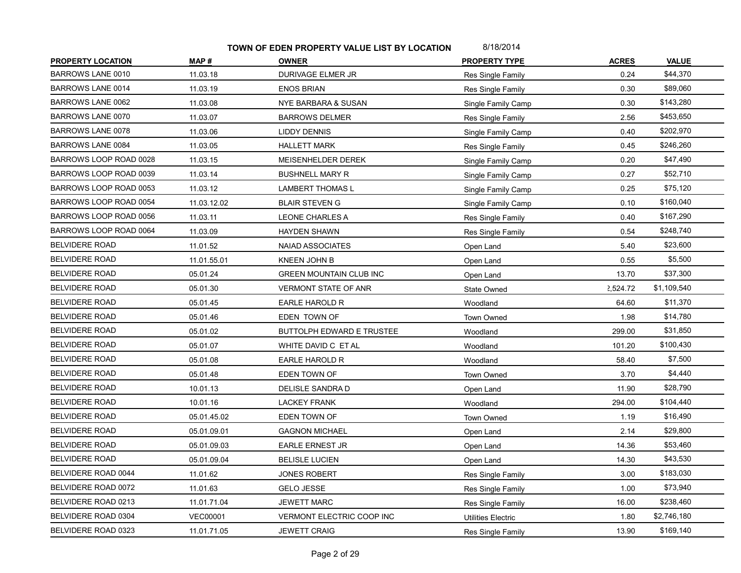| <b>PROPERTY LOCATION</b> | MAP#            | <b>OWNER</b>                   | <b>PROPERTY TYPE</b>      | <b>ACRES</b> | <b>VALUE</b> |
|--------------------------|-----------------|--------------------------------|---------------------------|--------------|--------------|
| BARROWS LANE 0010        | 11.03.18        | DURIVAGE ELMER JR              | Res Single Family         | 0.24         | \$44,370     |
| BARROWS LANE 0014        | 11.03.19        | <b>ENOS BRIAN</b>              | Res Single Family         | 0.30         | \$89,060     |
| BARROWS LANE 0062        | 11.03.08        | NYE BARBARA & SUSAN            | Single Family Camp        | 0.30         | \$143,280    |
| BARROWS LANE 0070        | 11.03.07        | <b>BARROWS DELMER</b>          | Res Single Family         | 2.56         | \$453,650    |
| <b>BARROWS LANE 0078</b> | 11.03.06        | <b>LIDDY DENNIS</b>            | Single Family Camp        | 0.40         | \$202,970    |
| BARROWS LANE 0084        | 11.03.05        | <b>HALLETT MARK</b>            | Res Single Family         | 0.45         | \$246,260    |
| BARROWS LOOP ROAD 0028   | 11.03.15        | MEISENHELDER DEREK             | Single Family Camp        | 0.20         | \$47,490     |
| BARROWS LOOP ROAD 0039   | 11.03.14        | <b>BUSHNELL MARY R</b>         | Single Family Camp        | 0.27         | \$52,710     |
| BARROWS LOOP ROAD 0053   | 11.03.12        | <b>LAMBERT THOMAS L</b>        | Single Family Camp        | 0.25         | \$75,120     |
| BARROWS LOOP ROAD 0054   | 11.03.12.02     | <b>BLAIR STEVEN G</b>          | Single Family Camp        | 0.10         | \$160,040    |
| BARROWS LOOP ROAD 0056   | 11.03.11        | <b>LEONE CHARLES A</b>         | Res Single Family         | 0.40         | \$167,290    |
| BARROWS LOOP ROAD 0064   | 11.03.09        | <b>HAYDEN SHAWN</b>            | Res Single Family         | 0.54         | \$248,740    |
| <b>BELVIDERE ROAD</b>    | 11.01.52        | <b>NAIAD ASSOCIATES</b>        | Open Land                 | 5.40         | \$23,600     |
| <b>BELVIDERE ROAD</b>    | 11.01.55.01     | <b>KNEEN JOHN B</b>            | Open Land                 | 0.55         | \$5,500      |
| <b>BELVIDERE ROAD</b>    | 05.01.24        | <b>GREEN MOUNTAIN CLUB INC</b> | Open Land                 | 13.70        | \$37,300     |
| <b>BELVIDERE ROAD</b>    | 05.01.30        | VERMONT STATE OF ANR           | State Owned               | 2,524.72     | \$1,109,540  |
| <b>BELVIDERE ROAD</b>    | 05.01.45        | EARLE HAROLD R                 | Woodland                  | 64.60        | \$11,370     |
| <b>BELVIDERE ROAD</b>    | 05.01.46        | EDEN TOWN OF                   | Town Owned                | 1.98         | \$14,780     |
| <b>BELVIDERE ROAD</b>    | 05.01.02        | BUTTOLPH EDWARD E TRUSTEE      | Woodland                  | 299.00       | \$31,850     |
| <b>BELVIDERE ROAD</b>    | 05.01.07        | WHITE DAVID C ET AL            | Woodland                  | 101.20       | \$100,430    |
| <b>BELVIDERE ROAD</b>    | 05.01.08        | EARLE HAROLD R                 | Woodland                  | 58.40        | \$7,500      |
| <b>BELVIDERE ROAD</b>    | 05.01.48        | EDEN TOWN OF                   | <b>Town Owned</b>         | 3.70         | \$4,440      |
| <b>BELVIDERE ROAD</b>    | 10.01.13        | DELISLE SANDRA D               | Open Land                 | 11.90        | \$28,790     |
| <b>BELVIDERE ROAD</b>    | 10.01.16        | <b>LACKEY FRANK</b>            | Woodland                  | 294.00       | \$104,440    |
| <b>BELVIDERE ROAD</b>    | 05.01.45.02     | EDEN TOWN OF                   | Town Owned                | 1.19         | \$16,490     |
| <b>BELVIDERE ROAD</b>    | 05.01.09.01     | <b>GAGNON MICHAEL</b>          | Open Land                 | 2.14         | \$29,800     |
| <b>BELVIDERE ROAD</b>    | 05.01.09.03     | <b>EARLE ERNEST JR</b>         | Open Land                 | 14.36        | \$53,460     |
| <b>BELVIDERE ROAD</b>    | 05.01.09.04     | <b>BELISLE LUCIEN</b>          | Open Land                 | 14.30        | \$43,530     |
| BELVIDERE ROAD 0044      | 11.01.62        | <b>JONES ROBERT</b>            | Res Single Family         | 3.00         | \$183,030    |
| BELVIDERE ROAD 0072      | 11.01.63        | <b>GELO JESSE</b>              | Res Single Family         | 1.00         | \$73,940     |
| BELVIDERE ROAD 0213      | 11.01.71.04     | <b>JEWETT MARC</b>             | Res Single Family         | 16.00        | \$238,460    |
| BELVIDERE ROAD 0304      | <b>VEC00001</b> | VERMONT ELECTRIC COOP INC      | <b>Utilities Electric</b> | 1.80         | \$2,746,180  |
| BELVIDERE ROAD 0323      | 11.01.71.05     | <b>JEWETT CRAIG</b>            | Res Single Family         | 13.90        | \$169,140    |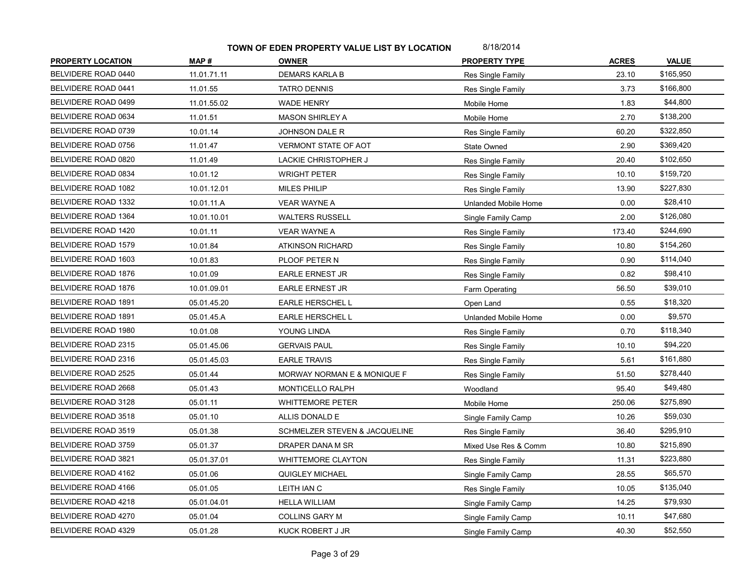| <b>PROPERTY LOCATION</b>   | MAP#        | <b>OWNER</b>                  | <b>PROPERTY TYPE</b> | <b>ACRES</b> | <b>VALUE</b> |
|----------------------------|-------------|-------------------------------|----------------------|--------------|--------------|
| BELVIDERE ROAD 0440        | 11.01.71.11 | <b>DEMARS KARLA B</b>         | Res Single Family    | 23.10        | \$165,950    |
| BELVIDERE ROAD 0441        | 11.01.55    | <b>TATRO DENNIS</b>           | Res Single Family    | 3.73         | \$166,800    |
| BELVIDERE ROAD 0499        | 11.01.55.02 | <b>WADE HENRY</b>             | Mobile Home          | 1.83         | \$44,800     |
| BELVIDERE ROAD 0634        | 11.01.51    | <b>MASON SHIRLEY A</b>        | Mobile Home          | 2.70         | \$138,200    |
| BELVIDERE ROAD 0739        | 10.01.14    | <b>JOHNSON DALE R</b>         | Res Single Family    | 60.20        | \$322,850    |
| BELVIDERE ROAD 0756        | 11.01.47    | VERMONT STATE OF AOT          | State Owned          | 2.90         | \$369,420    |
| BELVIDERE ROAD 0820        | 11.01.49    | <b>LACKIE CHRISTOPHER J</b>   | Res Single Family    | 20.40        | \$102,650    |
| BELVIDERE ROAD 0834        | 10.01.12    | <b>WRIGHT PETER</b>           | Res Single Family    | 10.10        | \$159,720    |
| BELVIDERE ROAD 1082        | 10.01.12.01 | <b>MILES PHILIP</b>           | Res Single Family    | 13.90        | \$227,830    |
| BELVIDERE ROAD 1332        | 10.01.11.A  | <b>VEAR WAYNE A</b>           | Unlanded Mobile Home | 0.00         | \$28,410     |
| BELVIDERE ROAD 1364        | 10.01.10.01 | <b>WALTERS RUSSELL</b>        | Single Family Camp   | 2.00         | \$126,080    |
| BELVIDERE ROAD 1420        | 10.01.11    | <b>VEAR WAYNE A</b>           | Res Single Family    | 173.40       | \$244,690    |
| BELVIDERE ROAD 1579        | 10.01.84    | <b>ATKINSON RICHARD</b>       | Res Single Family    | 10.80        | \$154,260    |
| BELVIDERE ROAD 1603        | 10.01.83    | PLOOF PETER N                 | Res Single Family    | 0.90         | \$114,040    |
| BELVIDERE ROAD 1876        | 10.01.09    | <b>EARLE ERNEST JR</b>        | Res Single Family    | 0.82         | \$98,410     |
| <b>BELVIDERE ROAD 1876</b> | 10.01.09.01 | <b>EARLE ERNEST JR</b>        | Farm Operating       | 56.50        | \$39,010     |
| BELVIDERE ROAD 1891        | 05.01.45.20 | EARLE HERSCHEL L              | Open Land            | 0.55         | \$18,320     |
| BELVIDERE ROAD 1891        | 05.01.45.A  | EARLE HERSCHEL L              | Unlanded Mobile Home | 0.00         | \$9,570      |
| BELVIDERE ROAD 1980        | 10.01.08    | YOUNG LINDA                   | Res Single Family    | 0.70         | \$118,340    |
| BELVIDERE ROAD 2315        | 05.01.45.06 | <b>GERVAIS PAUL</b>           | Res Single Family    | 10.10        | \$94,220     |
| BELVIDERE ROAD 2316        | 05.01.45.03 | <b>EARLE TRAVIS</b>           | Res Single Family    | 5.61         | \$161,880    |
| BELVIDERE ROAD 2525        | 05.01.44    | MORWAY NORMAN E & MONIQUE F   | Res Single Family    | 51.50        | \$278,440    |
| BELVIDERE ROAD 2668        | 05.01.43    | MONTICELLO RALPH              | Woodland             | 95.40        | \$49,480     |
| BELVIDERE ROAD 3128        | 05.01.11    | <b>WHITTEMORE PETER</b>       | Mobile Home          | 250.06       | \$275,890    |
| BELVIDERE ROAD 3518        | 05.01.10    | ALLIS DONALD E                | Single Family Camp   | 10.26        | \$59,030     |
| BELVIDERE ROAD 3519        | 05.01.38    | SCHMELZER STEVEN & JACQUELINE | Res Single Family    | 36.40        | \$295,910    |
| BELVIDERE ROAD 3759        | 05.01.37    | DRAPER DANA M SR              | Mixed Use Res & Comm | 10.80        | \$215,890    |
| BELVIDERE ROAD 3821        | 05.01.37.01 | WHITTEMORE CLAYTON            | Res Single Family    | 11.31        | \$223,880    |
| BELVIDERE ROAD 4162        | 05.01.06    | <b>QUIGLEY MICHAEL</b>        | Single Family Camp   | 28.55        | \$65,570     |
| BELVIDERE ROAD 4166        | 05.01.05    | LEITH IAN C                   | Res Single Family    | 10.05        | \$135,040    |
| BELVIDERE ROAD 4218        | 05.01.04.01 | <b>HELLA WILLIAM</b>          | Single Family Camp   | 14.25        | \$79,930     |
| BELVIDERE ROAD 4270        | 05.01.04    | <b>COLLINS GARY M</b>         | Single Family Camp   | 10.11        | \$47,680     |
| BELVIDERE ROAD 4329        | 05.01.28    | KUCK ROBERT J JR              | Single Family Camp   | 40.30        | \$52,550     |
|                            |             |                               |                      |              |              |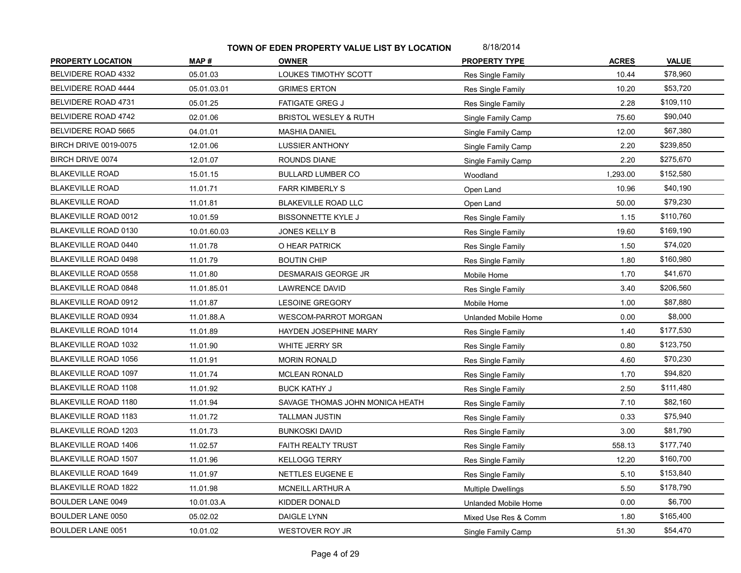| <b>PROPERTY LOCATION</b>     | MAP#        | <b>OWNER</b>                     | <b>PROPERTY TYPE</b>      | <b>ACRES</b> | <b>VALUE</b> |
|------------------------------|-------------|----------------------------------|---------------------------|--------------|--------------|
| BELVIDERE ROAD 4332          | 05.01.03    | LOUKES TIMOTHY SCOTT             | Res Single Family         | 10.44        | \$78,960     |
| BELVIDERE ROAD 4444          | 05.01.03.01 | <b>GRIMES ERTON</b>              | Res Single Family         | 10.20        | \$53,720     |
| BELVIDERE ROAD 4731          | 05.01.25    | <b>FATIGATE GREG J</b>           | <b>Res Single Family</b>  | 2.28         | \$109,110    |
| BELVIDERE ROAD 4742          | 02.01.06    | <b>BRISTOL WESLEY &amp; RUTH</b> | Single Family Camp        | 75.60        | \$90,040     |
| BELVIDERE ROAD 5665          | 04.01.01    | <b>MASHIA DANIEL</b>             | Single Family Camp        | 12.00        | \$67,380     |
| <b>BIRCH DRIVE 0019-0075</b> | 12.01.06    | <b>LUSSIER ANTHONY</b>           | Single Family Camp        | 2.20         | \$239,850    |
| BIRCH DRIVE 0074             | 12.01.07    | ROUNDS DIANE                     | Single Family Camp        | 2.20         | \$275,670    |
| <b>BLAKEVILLE ROAD</b>       | 15.01.15    | <b>BULLARD LUMBER CO</b>         | Woodland                  | 1,293.00     | \$152,580    |
| <b>BLAKEVILLE ROAD</b>       | 11.01.71    | <b>FARR KIMBERLY S</b>           | Open Land                 | 10.96        | \$40,190     |
| <b>BLAKEVILLE ROAD</b>       | 11.01.81    | <b>BLAKEVILLE ROAD LLC</b>       | Open Land                 | 50.00        | \$79,230     |
| BLAKEVILLE ROAD 0012         | 10.01.59    | BISSONNETTE KYLE J               | Res Single Family         | 1.15         | \$110,760    |
| BLAKEVILLE ROAD 0130         | 10.01.60.03 | <b>JONES KELLY B</b>             | Res Single Family         | 19.60        | \$169,190    |
| <b>BLAKEVILLE ROAD 0440</b>  | 11.01.78    | O HEAR PATRICK                   | Res Single Family         | 1.50         | \$74,020     |
| <b>BLAKEVILLE ROAD 0498</b>  | 11.01.79    | <b>BOUTIN CHIP</b>               | Res Single Family         | 1.80         | \$160,980    |
| <b>BLAKEVILLE ROAD 0558</b>  | 11.01.80    | DESMARAIS GEORGE JR              | Mobile Home               | 1.70         | \$41,670     |
| <b>BLAKEVILLE ROAD 0848</b>  | 11.01.85.01 | <b>LAWRENCE DAVID</b>            | Res Single Family         | 3.40         | \$206,560    |
| BLAKEVILLE ROAD 0912         | 11.01.87    | <b>LESOINE GREGORY</b>           | Mobile Home               | 1.00         | \$87,880     |
| <b>BLAKEVILLE ROAD 0934</b>  | 11.01.88.A  | <b>WESCOM-PARROT MORGAN</b>      | Unlanded Mobile Home      | 0.00         | \$8,000      |
| <b>BLAKEVILLE ROAD 1014</b>  | 11.01.89    | HAYDEN JOSEPHINE MARY            | Res Single Family         | 1.40         | \$177,530    |
| <b>BLAKEVILLE ROAD 1032</b>  | 11.01.90    | WHITE JERRY SR                   | Res Single Family         | 0.80         | \$123,750    |
| <b>BLAKEVILLE ROAD 1056</b>  | 11.01.91    | <b>MORIN RONALD</b>              | Res Single Family         | 4.60         | \$70,230     |
| <b>BLAKEVILLE ROAD 1097</b>  | 11.01.74    | <b>MCLEAN RONALD</b>             | Res Single Family         | 1.70         | \$94,820     |
| <b>BLAKEVILLE ROAD 1108</b>  | 11.01.92    | <b>BUCK KATHY J</b>              | Res Single Family         | 2.50         | \$111,480    |
| <b>BLAKEVILLE ROAD 1180</b>  | 11.01.94    | SAVAGE THOMAS JOHN MONICA HEATH  | Res Single Family         | 7.10         | \$82,160     |
| <b>BLAKEVILLE ROAD 1183</b>  | 11.01.72    | <b>TALLMAN JUSTIN</b>            | Res Single Family         | 0.33         | \$75,940     |
| <b>BLAKEVILLE ROAD 1203</b>  | 11.01.73    | <b>BUNKOSKI DAVID</b>            | Res Single Family         | 3.00         | \$81,790     |
| <b>BLAKEVILLE ROAD 1406</b>  | 11.02.57    | FAITH REALTY TRUST               | Res Single Family         | 558.13       | \$177,740    |
| <b>BLAKEVILLE ROAD 1507</b>  | 11.01.96    | <b>KELLOGG TERRY</b>             | Res Single Family         | 12.20        | \$160,700    |
| <b>BLAKEVILLE ROAD 1649</b>  | 11.01.97    | NETTLES EUGENE E                 | Res Single Family         | 5.10         | \$153,840    |
| <b>BLAKEVILLE ROAD 1822</b>  | 11.01.98    | MCNEILL ARTHUR A                 | <b>Multiple Dwellings</b> | 5.50         | \$178,790    |
| <b>BOULDER LANE 0049</b>     | 10.01.03.A  | KIDDER DONALD                    | Unlanded Mobile Home      | 0.00         | \$6,700      |
| BOULDER LANE 0050            | 05.02.02    | DAIGLE LYNN                      | Mixed Use Res & Comm      | 1.80         | \$165,400    |
| <b>BOULDER LANE 0051</b>     | 10.01.02    | WESTOVER ROY JR                  | Single Family Camp        | 51.30        | \$54,470     |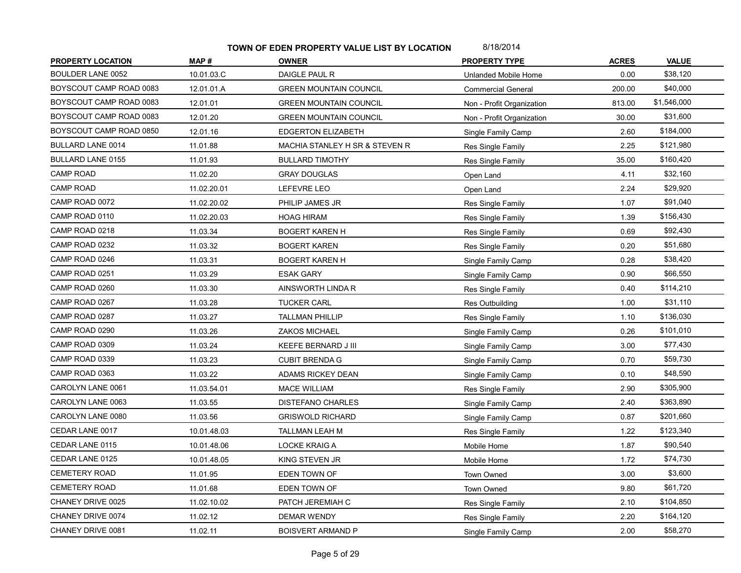| <b>PROPERTY LOCATION</b> | MAP#        | <b>OWNER</b>                   | <b>PROPERTY TYPE</b>      | <b>ACRES</b> | <b>VALUE</b> |
|--------------------------|-------------|--------------------------------|---------------------------|--------------|--------------|
| <b>BOULDER LANE 0052</b> | 10.01.03.C  | DAIGLE PAUL R                  | Unlanded Mobile Home      | 0.00         | \$38,120     |
| BOYSCOUT CAMP ROAD 0083  | 12.01.01.A  | <b>GREEN MOUNTAIN COUNCIL</b>  | <b>Commercial General</b> | 200.00       | \$40,000     |
| BOYSCOUT CAMP ROAD 0083  | 12.01.01    | <b>GREEN MOUNTAIN COUNCIL</b>  | Non - Profit Organization | 813.00       | \$1,546,000  |
| BOYSCOUT CAMP ROAD 0083  | 12.01.20    | <b>GREEN MOUNTAIN COUNCIL</b>  | Non - Profit Organization | 30.00        | \$31,600     |
| BOYSCOUT CAMP ROAD 0850  | 12.01.16    | EDGERTON ELIZABETH             | Single Family Camp        | 2.60         | \$184,000    |
| <b>BULLARD LANE 0014</b> | 11.01.88    | MACHIA STANLEY H SR & STEVEN R | Res Single Family         | 2.25         | \$121,980    |
| <b>BULLARD LANE 0155</b> | 11.01.93    | <b>BULLARD TIMOTHY</b>         | Res Single Family         | 35.00        | \$160,420    |
| <b>CAMP ROAD</b>         | 11.02.20    | <b>GRAY DOUGLAS</b>            | Open Land                 | 4.11         | \$32,160     |
| <b>CAMP ROAD</b>         | 11.02.20.01 | LEFEVRE LEO                    | Open Land                 | 2.24         | \$29,920     |
| CAMP ROAD 0072           | 11.02.20.02 | PHILIP JAMES JR                | Res Single Family         | 1.07         | \$91,040     |
| CAMP ROAD 0110           | 11.02.20.03 | <b>HOAG HIRAM</b>              | Res Single Family         | 1.39         | \$156,430    |
| CAMP ROAD 0218           | 11.03.34    | <b>BOGERT KAREN H</b>          | <b>Res Single Family</b>  | 0.69         | \$92,430     |
| CAMP ROAD 0232           | 11.03.32    | <b>BOGERT KAREN</b>            | Res Single Family         | 0.20         | \$51,680     |
| CAMP ROAD 0246           | 11.03.31    | <b>BOGERT KAREN H</b>          | Single Family Camp        | 0.28         | \$38,420     |
| CAMP ROAD 0251           | 11.03.29    | <b>ESAK GARY</b>               | Single Family Camp        | 0.90         | \$66,550     |
| CAMP ROAD 0260           | 11.03.30    | AINSWORTH LINDA R              | Res Single Family         | 0.40         | \$114,210    |
| CAMP ROAD 0267           | 11.03.28    | <b>TUCKER CARL</b>             | <b>Res Outbuilding</b>    | 1.00         | \$31,110     |
| CAMP ROAD 0287           | 11.03.27    | <b>TALLMAN PHILLIP</b>         | Res Single Family         | 1.10         | \$136,030    |
| CAMP ROAD 0290           | 11.03.26    | <b>ZAKOS MICHAEL</b>           | Single Family Camp        | 0.26         | \$101,010    |
| CAMP ROAD 0309           | 11.03.24    | KEEFE BERNARD J III            | Single Family Camp        | 3.00         | \$77,430     |
| CAMP ROAD 0339           | 11.03.23    | <b>CUBIT BRENDA G</b>          | Single Family Camp        | 0.70         | \$59,730     |
| CAMP ROAD 0363           | 11.03.22    | ADAMS RICKEY DEAN              | Single Family Camp        | 0.10         | \$48,590     |
| CAROLYN LANE 0061        | 11.03.54.01 | MACE WILLIAM                   | Res Single Family         | 2.90         | \$305,900    |
| CAROLYN LANE 0063        | 11.03.55    | <b>DISTEFANO CHARLES</b>       | Single Family Camp        | 2.40         | \$363,890    |
| CAROLYN LANE 0080        | 11.03.56    | <b>GRISWOLD RICHARD</b>        | Single Family Camp        | 0.87         | \$201,660    |
| CEDAR LANE 0017          | 10.01.48.03 | TALLMAN LEAH M                 | Res Single Family         | 1.22         | \$123,340    |
| CEDAR LANE 0115          | 10.01.48.06 | <b>LOCKE KRAIG A</b>           | Mobile Home               | 1.87         | \$90,540     |
| CEDAR LANE 0125          | 10.01.48.05 | KING STEVEN JR                 | Mobile Home               | 1.72         | \$74,730     |
| <b>CEMETERY ROAD</b>     | 11.01.95    | EDEN TOWN OF                   | <b>Town Owned</b>         | 3.00         | \$3,600      |
| CEMETERY ROAD            | 11.01.68    | EDEN TOWN OF                   | Town Owned                | 9.80         | \$61,720     |
| CHANEY DRIVE 0025        | 11.02.10.02 | PATCH JEREMIAH C               | Res Single Family         | 2.10         | \$104,850    |
| CHANEY DRIVE 0074        | 11.02.12    | <b>DEMAR WENDY</b>             | Res Single Family         | 2.20         | \$164,120    |
| CHANEY DRIVE 0081        | 11.02.11    | <b>BOISVERT ARMAND P</b>       | Single Family Camp        | 2.00         | \$58,270     |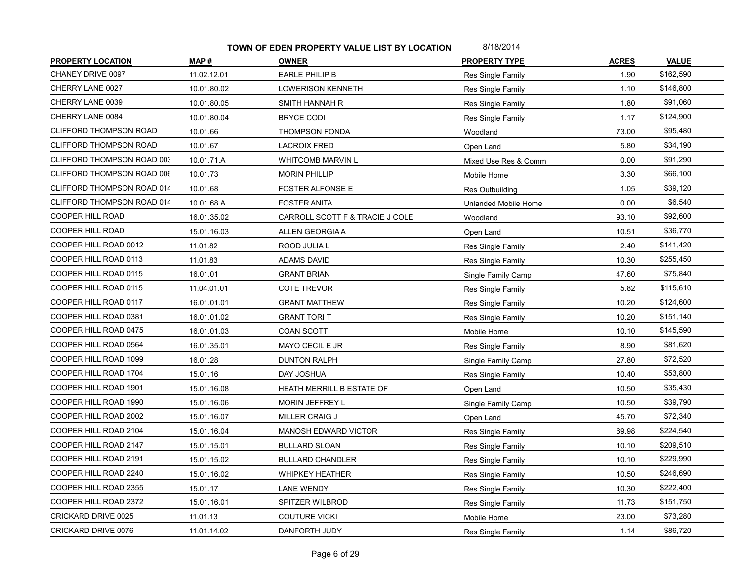| <b>PROPERTY LOCATION</b>      | MAP#        | <b>OWNER</b>                    | <b>PROPERTY TYPE</b> | <b>ACRES</b> | <b>VALUE</b> |
|-------------------------------|-------------|---------------------------------|----------------------|--------------|--------------|
| CHANEY DRIVE 0097             | 11.02.12.01 | <b>EARLE PHILIP B</b>           | Res Single Family    | 1.90         | \$162,590    |
| CHERRY LANE 0027              | 10.01.80.02 | <b>LOWERISON KENNETH</b>        | Res Single Family    | 1.10         | \$146,800    |
| CHERRY LANE 0039              | 10.01.80.05 | SMITH HANNAH R                  | Res Single Family    | 1.80         | \$91,060     |
| CHERRY LANE 0084              | 10.01.80.04 | <b>BRYCE CODI</b>               | Res Single Family    | 1.17         | \$124,900    |
| <b>CLIFFORD THOMPSON ROAD</b> | 10.01.66    | <b>THOMPSON FONDA</b>           | Woodland             | 73.00        | \$95,480     |
| <b>CLIFFORD THOMPSON ROAD</b> | 10.01.67    | <b>LACROIX FRED</b>             | Open Land            | 5.80         | \$34,190     |
| CLIFFORD THOMPSON ROAD 003    | 10.01.71.A  | <b>WHITCOMB MARVIN L</b>        | Mixed Use Res & Comm | 0.00         | \$91,290     |
| CLIFFORD THOMPSON ROAD 006    | 10.01.73    | <b>MORIN PHILLIP</b>            | Mobile Home          | 3.30         | \$66,100     |
| CLIFFORD THOMPSON ROAD 014    | 10.01.68    | FOSTER ALFONSE E                | Res Outbuilding      | 1.05         | \$39,120     |
| CLIFFORD THOMPSON ROAD 014    | 10.01.68.A  | <b>FOSTER ANITA</b>             | Unlanded Mobile Home | 0.00         | \$6,540      |
| COOPER HILL ROAD              | 16.01.35.02 | CARROLL SCOTT F & TRACIE J COLE | Woodland             | 93.10        | \$92,600     |
| COOPER HILL ROAD              | 15.01.16.03 | ALLEN GEORGIA A                 | Open Land            | 10.51        | \$36,770     |
| COOPER HILL ROAD 0012         | 11.01.82    | ROOD JULIA L                    | Res Single Family    | 2.40         | \$141,420    |
| COOPER HILL ROAD 0113         | 11.01.83    | <b>ADAMS DAVID</b>              | Res Single Family    | 10.30        | \$255,450    |
| COOPER HILL ROAD 0115         | 16.01.01    | <b>GRANT BRIAN</b>              | Single Family Camp   | 47.60        | \$75,840     |
| COOPER HILL ROAD 0115         | 11.04.01.01 | <b>COTE TREVOR</b>              | Res Single Family    | 5.82         | \$115,610    |
| COOPER HILL ROAD 0117         | 16.01.01.01 | <b>GRANT MATTHEW</b>            | Res Single Family    | 10.20        | \$124,600    |
| COOPER HILL ROAD 0381         | 16.01.01.02 | <b>GRANT TORIT</b>              | Res Single Family    | 10.20        | \$151,140    |
| COOPER HILL ROAD 0475         | 16.01.01.03 | COAN SCOTT                      | Mobile Home          | 10.10        | \$145,590    |
| COOPER HILL ROAD 0564         | 16.01.35.01 | MAYO CECIL E JR                 | Res Single Family    | 8.90         | \$81,620     |
| COOPER HILL ROAD 1099         | 16.01.28    | <b>DUNTON RALPH</b>             | Single Family Camp   | 27.80        | \$72,520     |
| COOPER HILL ROAD 1704         | 15.01.16    | DAY JOSHUA                      | Res Single Family    | 10.40        | \$53,800     |
| COOPER HILL ROAD 1901         | 15.01.16.08 | HEATH MERRILL B ESTATE OF       | Open Land            | 10.50        | \$35,430     |
| COOPER HILL ROAD 1990         | 15.01.16.06 | <b>MORIN JEFFREY L</b>          | Single Family Camp   | 10.50        | \$39,790     |
| COOPER HILL ROAD 2002         | 15.01.16.07 | MILLER CRAIG J                  | Open Land            | 45.70        | \$72,340     |
| COOPER HILL ROAD 2104         | 15.01.16.04 | <b>MANOSH EDWARD VICTOR</b>     | Res Single Family    | 69.98        | \$224,540    |
| COOPER HILL ROAD 2147         | 15.01.15.01 | <b>BULLARD SLOAN</b>            | Res Single Family    | 10.10        | \$209,510    |
| COOPER HILL ROAD 2191         | 15.01.15.02 | <b>BULLARD CHANDLER</b>         | Res Single Family    | 10.10        | \$229,990    |
| COOPER HILL ROAD 2240         | 15.01.16.02 | <b>WHIPKEY HEATHER</b>          | Res Single Family    | 10.50        | \$246,690    |
| COOPER HILL ROAD 2355         | 15.01.17    | <b>LANE WENDY</b>               | Res Single Family    | 10.30        | \$222,400    |
| COOPER HILL ROAD 2372         | 15.01.16.01 | SPITZER WILBROD                 | Res Single Family    | 11.73        | \$151,750    |
| CRICKARD DRIVE 0025           | 11.01.13    | <b>COUTURE VICKI</b>            | Mobile Home          | 23.00        | \$73,280     |
| CRICKARD DRIVE 0076           | 11.01.14.02 | DANFORTH JUDY                   | Res Single Family    | 1.14         | \$86,720     |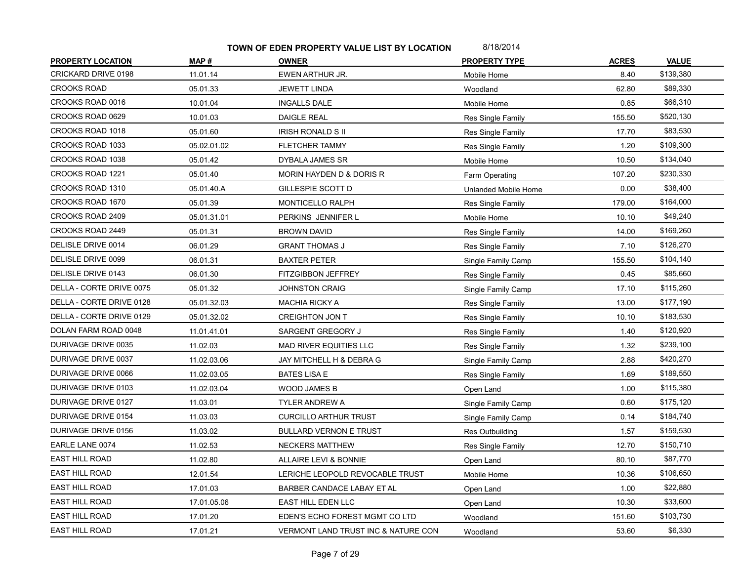| <b>PROPERTY LOCATION</b> | MAP#        | <b>OWNER</b>                        | <b>PROPERTY TYPE</b> | <b>ACRES</b> | <b>VALUE</b> |
|--------------------------|-------------|-------------------------------------|----------------------|--------------|--------------|
| CRICKARD DRIVE 0198      | 11.01.14    | EWEN ARTHUR JR.                     | Mobile Home          | 8.40         | \$139,380    |
| <b>CROOKS ROAD</b>       | 05.01.33    | <b>JEWETT LINDA</b>                 | Woodland             | 62.80        | \$89,330     |
| CROOKS ROAD 0016         | 10.01.04    | <b>INGALLS DALE</b>                 | Mobile Home          | 0.85         | \$66,310     |
| CROOKS ROAD 0629         | 10.01.03    | <b>DAIGLE REAL</b>                  | Res Single Family    | 155.50       | \$520,130    |
| CROOKS ROAD 1018         | 05.01.60    | <b>IRISH RONALD S II</b>            | Res Single Family    | 17.70        | \$83,530     |
| CROOKS ROAD 1033         | 05.02.01.02 | <b>FLETCHER TAMMY</b>               | Res Single Family    | 1.20         | \$109,300    |
| CROOKS ROAD 1038         | 05.01.42    | DYBALA JAMES SR                     | Mobile Home          | 10.50        | \$134,040    |
| CROOKS ROAD 1221         | 05.01.40    | MORIN HAYDEN D & DORIS R            | Farm Operating       | 107.20       | \$230,330    |
| CROOKS ROAD 1310         | 05.01.40.A  | GILLESPIE SCOTT D                   | Unlanded Mobile Home | 0.00         | \$38,400     |
| CROOKS ROAD 1670         | 05.01.39    | MONTICELLO RALPH                    | Res Single Family    | 179.00       | \$164,000    |
| CROOKS ROAD 2409         | 05.01.31.01 | PERKINS JENNIFER L                  | Mobile Home          | 10.10        | \$49,240     |
| CROOKS ROAD 2449         | 05.01.31    | <b>BROWN DAVID</b>                  | Res Single Family    | 14.00        | \$169,260    |
| DELISLE DRIVE 0014       | 06.01.29    | <b>GRANT THOMAS J</b>               | Res Single Family    | 7.10         | \$126,270    |
| DELISLE DRIVE 0099       | 06.01.31    | <b>BAXTER PETER</b>                 | Single Family Camp   | 155.50       | \$104,140    |
| DELISLE DRIVE 0143       | 06.01.30    | FITZGIBBON JEFFREY                  | Res Single Family    | 0.45         | \$85,660     |
| DELLA - CORTE DRIVE 0075 | 05.01.32    | <b>JOHNSTON CRAIG</b>               | Single Family Camp   | 17.10        | \$115,260    |
| DELLA - CORTE DRIVE 0128 | 05.01.32.03 | <b>MACHIA RICKY A</b>               | Res Single Family    | 13.00        | \$177,190    |
| DELLA - CORTE DRIVE 0129 | 05.01.32.02 | <b>CREIGHTON JON T</b>              | Res Single Family    | 10.10        | \$183,530    |
| DOLAN FARM ROAD 0048     | 11.01.41.01 | SARGENT GREGORY J                   | Res Single Family    | 1.40         | \$120,920    |
| DURIVAGE DRIVE 0035      | 11.02.03    | <b>MAD RIVER EQUITIES LLC</b>       | Res Single Family    | 1.32         | \$239,100    |
| DURIVAGE DRIVE 0037      | 11.02.03.06 | JAY MITCHELL H & DEBRA G            | Single Family Camp   | 2.88         | \$420,270    |
| DURIVAGE DRIVE 0066      | 11.02.03.05 | <b>BATES LISA E</b>                 | Res Single Family    | 1.69         | \$189,550    |
| DURIVAGE DRIVE 0103      | 11.02.03.04 | <b>WOOD JAMES B</b>                 | Open Land            | 1.00         | \$115,380    |
| DURIVAGE DRIVE 0127      | 11.03.01    | <b>TYLER ANDREW A</b>               | Single Family Camp   | 0.60         | \$175,120    |
| DURIVAGE DRIVE 0154      | 11.03.03    | <b>CURCILLO ARTHUR TRUST</b>        | Single Family Camp   | 0.14         | \$184,740    |
| DURIVAGE DRIVE 0156      | 11.03.02    | <b>BULLARD VERNON E TRUST</b>       | Res Outbuilding      | 1.57         | \$159,530    |
| EARLE LANE 0074          | 11.02.53    | <b>NECKERS MATTHEW</b>              | Res Single Family    | 12.70        | \$150,710    |
| <b>EAST HILL ROAD</b>    | 11.02.80    | ALLAIRE LEVI & BONNIE               | Open Land            | 80.10        | \$87,770     |
| <b>EAST HILL ROAD</b>    | 12.01.54    | LERICHE LEOPOLD REVOCABLE TRUST     | Mobile Home          | 10.36        | \$106,650    |
| EAST HILL ROAD           | 17.01.03    | BARBER CANDACE LABAY ET AL          | Open Land            | 1.00         | \$22,880     |
| <b>EAST HILL ROAD</b>    | 17.01.05.06 | EAST HILL EDEN LLC                  | Open Land            | 10.30        | \$33,600     |
| <b>EAST HILL ROAD</b>    | 17.01.20    | EDEN'S ECHO FOREST MGMT CO LTD      | Woodland             | 151.60       | \$103,730    |
| <b>EAST HILL ROAD</b>    | 17.01.21    | VERMONT LAND TRUST INC & NATURE CON | Woodland             | 53.60        | \$6,330      |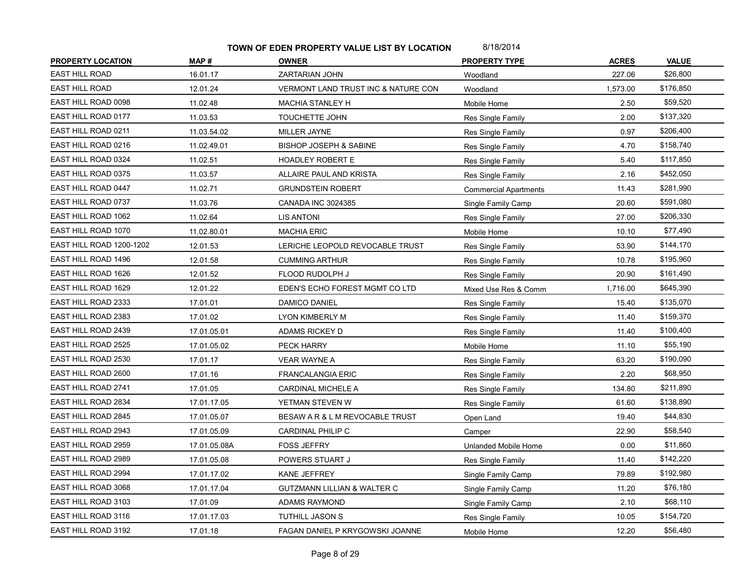| <b>PROPERTY LOCATION</b> | MAP#         | <b>OWNER</b>                           | <b>PROPERTY TYPE</b>         | <b>ACRES</b> | <b>VALUE</b> |
|--------------------------|--------------|----------------------------------------|------------------------------|--------------|--------------|
| <b>EAST HILL ROAD</b>    | 16.01.17     | ZARTARIAN JOHN                         | Woodland                     | 227.06       | \$26,800     |
| <b>EAST HILL ROAD</b>    | 12.01.24     | VERMONT LAND TRUST INC & NATURE CON    | Woodland                     | 1,573.00     | \$176,850    |
| EAST HILL ROAD 0098      | 11.02.48     | MACHIA STANLEY H                       | Mobile Home                  | 2.50         | \$59,520     |
| EAST HILL ROAD 0177      | 11.03.53     | <b>TOUCHETTE JOHN</b>                  | Res Single Family            | 2.00         | \$137,320    |
| EAST HILL ROAD 0211      | 11.03.54.02  | MILLER JAYNE                           | Res Single Family            | 0.97         | \$206,400    |
| EAST HILL ROAD 0216      | 11.02.49.01  | <b>BISHOP JOSEPH &amp; SABINE</b>      | Res Single Family            | 4.70         | \$158,740    |
| EAST HILL ROAD 0324      | 11.02.51     | <b>HOADLEY ROBERT E</b>                | Res Single Family            | 5.40         | \$117,850    |
| EAST HILL ROAD 0375      | 11.03.57     | ALLAIRE PAUL AND KRISTA                | Res Single Family            | 2.16         | \$452,050    |
| EAST HILL ROAD 0447      | 11.02.71     | <b>GRUNDSTEIN ROBERT</b>               | <b>Commercial Apartments</b> | 11.43        | \$281,990    |
| EAST HILL ROAD 0737      | 11.03.76     | CANADA INC 3024385                     | Single Family Camp           | 20.60        | \$591,080    |
| EAST HILL ROAD 1062      | 11.02.64     | <b>LIS ANTONI</b>                      | Res Single Family            | 27.00        | \$206,330    |
| EAST HILL ROAD 1070      | 11.02.80.01  | <b>MACHIA ERIC</b>                     | Mobile Home                  | 10.10        | \$77,490     |
| EAST HILL ROAD 1200-1202 | 12.01.53     | LERICHE LEOPOLD REVOCABLE TRUST        | Res Single Family            | 53.90        | \$144,170    |
| EAST HILL ROAD 1496      | 12.01.58     | <b>CUMMING ARTHUR</b>                  | Res Single Family            | 10.78        | \$195,960    |
| EAST HILL ROAD 1626      | 12.01.52     | FLOOD RUDOLPH J                        | Res Single Family            | 20.90        | \$161,490    |
| EAST HILL ROAD 1629      | 12.01.22     | EDEN'S ECHO FOREST MGMT CO LTD         | Mixed Use Res & Comm         | 1,716.00     | \$645,390    |
| EAST HILL ROAD 2333      | 17.01.01     | DAMICO DANIEL                          | Res Single Family            | 15.40        | \$135,070    |
| EAST HILL ROAD 2383      | 17.01.02     | LYON KIMBERLY M                        | Res Single Family            | 11.40        | \$159,370    |
| EAST HILL ROAD 2439      | 17.01.05.01  | ADAMS RICKEY D                         | Res Single Family            | 11.40        | \$100,400    |
| EAST HILL ROAD 2525      | 17.01.05.02  | PECK HARRY                             | Mobile Home                  | 11.10        | \$55,190     |
| EAST HILL ROAD 2530      | 17.01.17     | <b>VEAR WAYNE A</b>                    | Res Single Family            | 63.20        | \$190,090    |
| EAST HILL ROAD 2600      | 17.01.16     | <b>FRANCALANGIA ERIC</b>               | Res Single Family            | 2.20         | \$68,950     |
| EAST HILL ROAD 2741      | 17.01.05     | CARDINAL MICHELE A                     | Res Single Family            | 134.80       | \$211,890    |
| EAST HILL ROAD 2834      | 17.01.17.05  | YETMAN STEVEN W                        | Res Single Family            | 61.60        | \$138,890    |
| EAST HILL ROAD 2845      | 17.01.05.07  | BESAW A R & L M REVOCABLE TRUST        | Open Land                    | 19.40        | \$44,830     |
| EAST HILL ROAD 2943      | 17.01.05.09  | CARDINAL PHILIP C                      | Camper                       | 22.90        | \$58,540     |
| EAST HILL ROAD 2959      | 17.01.05.08A | <b>FOSS JEFFRY</b>                     | Unlanded Mobile Home         | 0.00         | \$11,860     |
| EAST HILL ROAD 2989      | 17.01.05.08  | POWERS STUART J                        | Res Single Family            | 11.40        | \$142,220    |
| EAST HILL ROAD 2994      | 17.01.17.02  | KANE JEFFREY                           | Single Family Camp           | 79.89        | \$192,980    |
| EAST HILL ROAD 3068      | 17.01.17.04  | <b>GUTZMANN LILLIAN &amp; WALTER C</b> | Single Family Camp           | 11.20        | \$76,180     |
| EAST HILL ROAD 3103      | 17.01.09     | <b>ADAMS RAYMOND</b>                   | Single Family Camp           | 2.10         | \$68,110     |
| EAST HILL ROAD 3116      | 17.01.17.03  | <b>TUTHILL JASON S</b>                 | Res Single Family            | 10.05        | \$154,720    |
| EAST HILL ROAD 3192      | 17.01.18     | FAGAN DANIEL P KRYGOWSKI JOANNE        | Mobile Home                  | 12.20        | \$56,480     |
|                          |              |                                        |                              |              |              |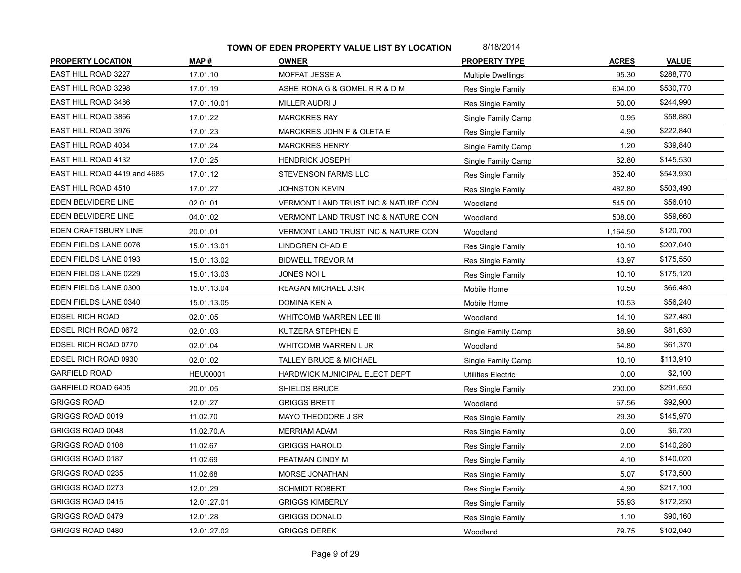| <b>PROPERTY LOCATION</b>     | MAP#            | <b>OWNER</b>                        | <b>PROPERTY TYPE</b>      | <b>ACRES</b> | <b>VALUE</b> |
|------------------------------|-----------------|-------------------------------------|---------------------------|--------------|--------------|
| EAST HILL ROAD 3227          | 17.01.10        | <b>MOFFAT JESSE A</b>               | <b>Multiple Dwellings</b> | 95.30        | \$288,770    |
| EAST HILL ROAD 3298          | 17.01.19        | ASHE RONA G & GOMEL R R & D M       | Res Single Family         | 604.00       | \$530,770    |
| EAST HILL ROAD 3486          | 17.01.10.01     | MILLER AUDRI J                      | <b>Res Single Family</b>  | 50.00        | \$244,990    |
| EAST HILL ROAD 3866          | 17.01.22        | <b>MARCKRES RAY</b>                 | Single Family Camp        | 0.95         | \$58,880     |
| EAST HILL ROAD 3976          | 17.01.23        | MARCKRES JOHN F & OLETA E           | Res Single Family         | 4.90         | \$222,840    |
| EAST HILL ROAD 4034          | 17.01.24        | <b>MARCKRES HENRY</b>               | Single Family Camp        | 1.20         | \$39,840     |
| EAST HILL ROAD 4132          | 17.01.25        | <b>HENDRICK JOSEPH</b>              | Single Family Camp        | 62.80        | \$145,530    |
| EAST HILL ROAD 4419 and 4685 | 17.01.12        | STEVENSON FARMS LLC                 | Res Single Family         | 352.40       | \$543,930    |
| EAST HILL ROAD 4510          | 17.01.27        | <b>JOHNSTON KEVIN</b>               | Res Single Family         | 482.80       | \$503,490    |
| EDEN BELVIDERE LINE          | 02.01.01        | VERMONT LAND TRUST INC & NATURE CON | Woodland                  | 545.00       | \$56,010     |
| EDEN BELVIDERE LINE          | 04.01.02        | VERMONT LAND TRUST INC & NATURE CON | Woodland                  | 508.00       | \$59,660     |
| EDEN CRAFTSBURY LINE         | 20.01.01        | VERMONT LAND TRUST INC & NATURE CON | Woodland                  | 1,164.50     | \$120,700    |
| EDEN FIELDS LANE 0076        | 15.01.13.01     | <b>LINDGREN CHAD E</b>              | Res Single Family         | 10.10        | \$207,040    |
| EDEN FIELDS LANE 0193        | 15.01.13.02     | <b>BIDWELL TREVOR M</b>             | Res Single Family         | 43.97        | \$175,550    |
| EDEN FIELDS LANE 0229        | 15.01.13.03     | JONES NOI L                         | Res Single Family         | 10.10        | \$175,120    |
| EDEN FIELDS LANE 0300        | 15.01.13.04     | REAGAN MICHAEL J.SR                 | Mobile Home               | 10.50        | \$66,480     |
| EDEN FIELDS LANE 0340        | 15.01.13.05     | DOMINA KEN A                        | Mobile Home               | 10.53        | \$56,240     |
| <b>EDSEL RICH ROAD</b>       | 02.01.05        | WHITCOMB WARREN LEE III             | Woodland                  | 14.10        | \$27,480     |
| EDSEL RICH ROAD 0672         | 02.01.03        | KUTZERA STEPHEN E                   | Single Family Camp        | 68.90        | \$81,630     |
| EDSEL RICH ROAD 0770         | 02.01.04        | WHITCOMB WARREN L JR                | Woodland                  | 54.80        | \$61,370     |
| EDSEL RICH ROAD 0930         | 02.01.02        | <b>TALLEY BRUCE &amp; MICHAEL</b>   | Single Family Camp        | 10.10        | \$113,910    |
| <b>GARFIELD ROAD</b>         | <b>HEU00001</b> | HARDWICK MUNICIPAL ELECT DEPT       | Utilities Electric        | 0.00         | \$2,100      |
| GARFIELD ROAD 6405           | 20.01.05        | SHIELDS BRUCE                       | Res Single Family         | 200.00       | \$291,650    |
| <b>GRIGGS ROAD</b>           | 12.01.27        | <b>GRIGGS BRETT</b>                 | Woodland                  | 67.56        | \$92,900     |
| GRIGGS ROAD 0019             | 11.02.70        | MAYO THEODORE J SR                  | Res Single Family         | 29.30        | \$145,970    |
| GRIGGS ROAD 0048             | 11.02.70.A      | <b>MERRIAM ADAM</b>                 | Res Single Family         | 0.00         | \$6,720      |
| GRIGGS ROAD 0108             | 11.02.67        | <b>GRIGGS HAROLD</b>                | Res Single Family         | 2.00         | \$140,280    |
| GRIGGS ROAD 0187             | 11.02.69        | PEATMAN CINDY M                     | Res Single Family         | 4.10         | \$140,020    |
| GRIGGS ROAD 0235             | 11.02.68        | <b>MORSE JONATHAN</b>               | Res Single Family         | 5.07         | \$173,500    |
| GRIGGS ROAD 0273             | 12.01.29        | <b>SCHMIDT ROBERT</b>               | Res Single Family         | 4.90         | \$217,100    |
| GRIGGS ROAD 0415             | 12.01.27.01     | <b>GRIGGS KIMBERLY</b>              | Res Single Family         | 55.93        | \$172,250    |
| GRIGGS ROAD 0479             |                 |                                     |                           |              |              |
|                              | 12.01.28        | <b>GRIGGS DONALD</b>                | Res Single Family         | 1.10         | \$90,160     |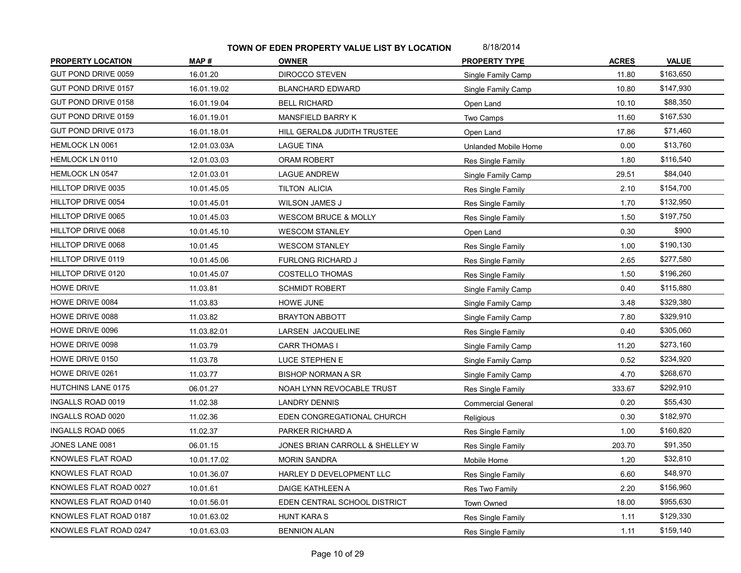| <b>PROPERTY LOCATION</b> | MAP#         | <b>OWNER</b>                    | <b>PROPERTY TYPE</b>      | <b>ACRES</b> | <b>VALUE</b> |
|--------------------------|--------------|---------------------------------|---------------------------|--------------|--------------|
| GUT POND DRIVE 0059      | 16.01.20     | <b>DIROCCO STEVEN</b>           | Single Family Camp        | 11.80        | \$163,650    |
| GUT POND DRIVE 0157      | 16.01.19.02  | <b>BLANCHARD EDWARD</b>         | Single Family Camp        | 10.80        | \$147,930    |
| GUT POND DRIVE 0158      | 16.01.19.04  | <b>BELL RICHARD</b>             | Open Land                 | 10.10        | \$88,350     |
| GUT POND DRIVE 0159      | 16.01.19.01  | MANSFIELD BARRY K               | Two Camps                 | 11.60        | \$167,530    |
| GUT POND DRIVE 0173      | 16.01.18.01  | HILL GERALD& JUDITH TRUSTEE     | Open Land                 | 17.86        | \$71,460     |
| HEMLOCK LN 0061          | 12.01.03.03A | <b>LAGUE TINA</b>               | Unlanded Mobile Home      | 0.00         | \$13,760     |
| HEMLOCK LN 0110          | 12.01.03.03  | <b>ORAM ROBERT</b>              | Res Single Family         | 1.80         | \$116,540    |
| <b>HEMLOCK LN 0547</b>   | 12.01.03.01  | <b>LAGUE ANDREW</b>             | Single Family Camp        | 29.51        | \$84,040     |
| HILLTOP DRIVE 0035       | 10.01.45.05  | <b>TILTON ALICIA</b>            | Res Single Family         | 2.10         | \$154,700    |
| HILLTOP DRIVE 0054       | 10.01.45.01  | <b>WILSON JAMES J</b>           | Res Single Family         | 1.70         | \$132,950    |
| HILLTOP DRIVE 0065       | 10.01.45.03  | <b>WESCOM BRUCE &amp; MOLLY</b> | Res Single Family         | 1.50         | \$197,750    |
| HILLTOP DRIVE 0068       | 10.01.45.10  | <b>WESCOM STANLEY</b>           | Open Land                 | 0.30         | \$900        |
| HILLTOP DRIVE 0068       | 10.01.45     | <b>WESCOM STANLEY</b>           | Res Single Family         | 1.00         | \$190,130    |
| HILLTOP DRIVE 0119       | 10.01.45.06  | <b>FURLONG RICHARD J</b>        | Res Single Family         | 2.65         | \$277,580    |
| HILLTOP DRIVE 0120       | 10.01.45.07  | <b>COSTELLO THOMAS</b>          | Res Single Family         | 1.50         | \$196,260    |
| <b>HOWE DRIVE</b>        | 11.03.81     | <b>SCHMIDT ROBERT</b>           | Single Family Camp        | 0.40         | \$115,880    |
| HOWE DRIVE 0084          | 11.03.83     | HOWE JUNE                       | Single Family Camp        | 3.48         | \$329,380    |
| HOWE DRIVE 0088          | 11.03.82     | <b>BRAYTON ABBOTT</b>           | Single Family Camp        | 7.80         | \$329,910    |
| HOWE DRIVE 0096          | 11.03.82.01  | LARSEN JACQUELINE               | Res Single Family         | 0.40         | \$305,060    |
| HOWE DRIVE 0098          | 11.03.79     | <b>CARR THOMAS I</b>            | Single Family Camp        | 11.20        | \$273,160    |
| HOWE DRIVE 0150          | 11.03.78     | LUCE STEPHEN E                  | Single Family Camp        | 0.52         | \$234,920    |
| HOWE DRIVE 0261          | 11.03.77     | <b>BISHOP NORMAN A SR</b>       | Single Family Camp        | 4.70         | \$268,670    |
| HUTCHINS LANE 0175       | 06.01.27     | NOAH LYNN REVOCABLE TRUST       | Res Single Family         | 333.67       | \$292,910    |
| <b>INGALLS ROAD 0019</b> | 11.02.38     | <b>LANDRY DENNIS</b>            | <b>Commercial General</b> | 0.20         | \$55,430     |
| INGALLS ROAD 0020        | 11.02.36     | EDEN CONGREGATIONAL CHURCH      | Religious                 | 0.30         | \$182,970    |
| INGALLS ROAD 0065        | 11.02.37     | PARKER RICHARD A                | Res Single Family         | 1.00         | \$160,820    |
| JONES LANE 0081          | 06.01.15     | JONES BRIAN CARROLL & SHELLEY W | Res Single Family         | 203.70       | \$91,350     |
| KNOWLES FLAT ROAD        | 10.01.17.02  | <b>MORIN SANDRA</b>             | Mobile Home               | 1.20         | \$32,810     |
| KNOWLES FLAT ROAD        | 10.01.36.07  | HARLEY D DEVELOPMENT LLC        | Res Single Family         | 6.60         | \$48,970     |
| KNOWLES FLAT ROAD 0027   | 10.01.61     | DAIGE KATHLEEN A                | Res Two Family            | 2.20         | \$156,960    |
| KNOWLES FLAT ROAD 0140   | 10.01.56.01  | EDEN CENTRAL SCHOOL DISTRICT    | Town Owned                | 18.00        | \$955,630    |
| KNOWLES FLAT ROAD 0187   | 10.01.63.02  | <b>HUNT KARA S</b>              | Res Single Family         | 1.11         | \$129,330    |
| KNOWLES FLAT ROAD 0247   | 10.01.63.03  | <b>BENNION ALAN</b>             | Res Single Family         | 1.11         | \$159,140    |
|                          |              |                                 |                           |              |              |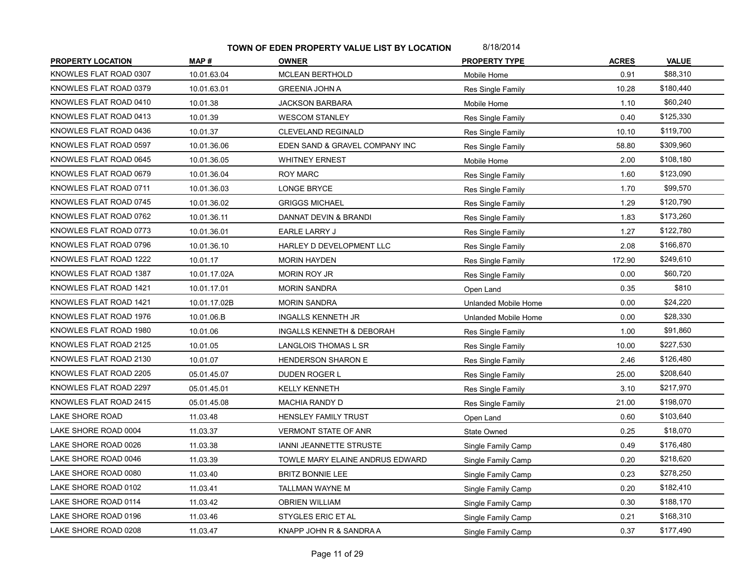| <b>PROPERTY LOCATION</b> | MAP#         | <b>OWNER</b>                    | <b>PROPERTY TYPE</b> | <b>ACRES</b> | <b>VALUE</b> |
|--------------------------|--------------|---------------------------------|----------------------|--------------|--------------|
| KNOWLES FLAT ROAD 0307   | 10.01.63.04  | <b>MCLEAN BERTHOLD</b>          | Mobile Home          | 0.91         | \$88,310     |
| KNOWLES FLAT ROAD 0379   | 10.01.63.01  | <b>GREENIA JOHN A</b>           | Res Single Family    | 10.28        | \$180,440    |
| KNOWLES FLAT ROAD 0410   | 10.01.38     | <b>JACKSON BARBARA</b>          | Mobile Home          | 1.10         | \$60,240     |
| KNOWLES FLAT ROAD 0413   | 10.01.39     | <b>WESCOM STANLEY</b>           | Res Single Family    | 0.40         | \$125,330    |
| KNOWLES FLAT ROAD 0436   | 10.01.37     | <b>CLEVELAND REGINALD</b>       | Res Single Family    | 10.10        | \$119,700    |
| KNOWLES FLAT ROAD 0597   | 10.01.36.06  | EDEN SAND & GRAVEL COMPANY INC  | Res Single Family    | 58.80        | \$309,960    |
| KNOWLES FLAT ROAD 0645   | 10.01.36.05  | <b>WHITNEY ERNEST</b>           | Mobile Home          | 2.00         | \$108,180    |
| KNOWLES FLAT ROAD 0679   | 10.01.36.04  | <b>ROY MARC</b>                 | Res Single Family    | 1.60         | \$123,090    |
| KNOWLES FLAT ROAD 0711   | 10.01.36.03  | <b>LONGE BRYCE</b>              | Res Single Family    | 1.70         | \$99,570     |
| KNOWLES FLAT ROAD 0745   | 10.01.36.02  | <b>GRIGGS MICHAEL</b>           | Res Single Family    | 1.29         | \$120,790    |
| KNOWLES FLAT ROAD 0762   | 10.01.36.11  | DANNAT DEVIN & BRANDI           | Res Single Family    | 1.83         | \$173,260    |
| KNOWLES FLAT ROAD 0773   | 10.01.36.01  | EARLE LARRY J                   | Res Single Family    | 1.27         | \$122,780    |
| KNOWLES FLAT ROAD 0796   | 10.01.36.10  | HARLEY D DEVELOPMENT LLC        | Res Single Family    | 2.08         | \$166,870    |
| KNOWLES FLAT ROAD 1222   | 10.01.17     | <b>MORIN HAYDEN</b>             | Res Single Family    | 172.90       | \$249,610    |
| KNOWLES FLAT ROAD 1387   | 10.01.17.02A | MORIN ROY JR                    | Res Single Family    | 0.00         | \$60,720     |
| KNOWLES FLAT ROAD 1421   | 10.01.17.01  | <b>MORIN SANDRA</b>             | Open Land            | 0.35         | \$810        |
| KNOWLES FLAT ROAD 1421   | 10.01.17.02B | <b>MORIN SANDRA</b>             | Unlanded Mobile Home | 0.00         | \$24,220     |
| KNOWLES FLAT ROAD 1976   | 10.01.06.B   | <b>INGALLS KENNETH JR</b>       | Unlanded Mobile Home | 0.00         | \$28,330     |
| KNOWLES FLAT ROAD 1980   | 10.01.06     | INGALLS KENNETH & DEBORAH       | Res Single Family    | 1.00         | \$91,860     |
| KNOWLES FLAT ROAD 2125   | 10.01.05     | LANGLOIS THOMAS L SR            | Res Single Family    | 10.00        | \$227,530    |
| KNOWLES FLAT ROAD 2130   | 10.01.07     | <b>HENDERSON SHARON E</b>       | Res Single Family    | 2.46         | \$126,480    |
| KNOWLES FLAT ROAD 2205   | 05.01.45.07  | DUDEN ROGER L                   | Res Single Family    | 25.00        | \$208,640    |
| KNOWLES FLAT ROAD 2297   | 05.01.45.01  | <b>KELLY KENNETH</b>            | Res Single Family    | 3.10         | \$217,970    |
| KNOWLES FLAT ROAD 2415   | 05.01.45.08  | MACHIA RANDY D                  | Res Single Family    | 21.00        | \$198,070    |
| LAKE SHORE ROAD          | 11.03.48     | <b>HENSLEY FAMILY TRUST</b>     | Open Land            | 0.60         | \$103,640    |
| LAKE SHORE ROAD 0004     | 11.03.37     | <b>VERMONT STATE OF ANR</b>     | State Owned          | 0.25         | \$18,070     |
| LAKE SHORE ROAD 0026     | 11.03.38     | IANNI JEANNETTE STRUSTE         | Single Family Camp   | 0.49         | \$176,480    |
| LAKE SHORE ROAD 0046     | 11.03.39     | TOWLE MARY ELAINE ANDRUS EDWARD | Single Family Camp   | 0.20         | \$218,620    |
| LAKE SHORE ROAD 0080     | 11.03.40     | <b>BRITZ BONNIE LEE</b>         | Single Family Camp   | 0.23         | \$278,250    |
| LAKE SHORE ROAD 0102     | 11.03.41     | TALLMAN WAYNE M                 | Single Family Camp   | 0.20         | \$182,410    |
| LAKE SHORE ROAD 0114     | 11.03.42     | <b>OBRIEN WILLIAM</b>           | Single Family Camp   | 0.30         | \$188,170    |
| LAKE SHORE ROAD 0196     | 11.03.46     | STYGLES ERIC ET AL              | Single Family Camp   | 0.21         | \$168,310    |
| LAKE SHORE ROAD 0208     | 11.03.47     | KNAPP JOHN R & SANDRA A         | Single Family Camp   | 0.37         | \$177,490    |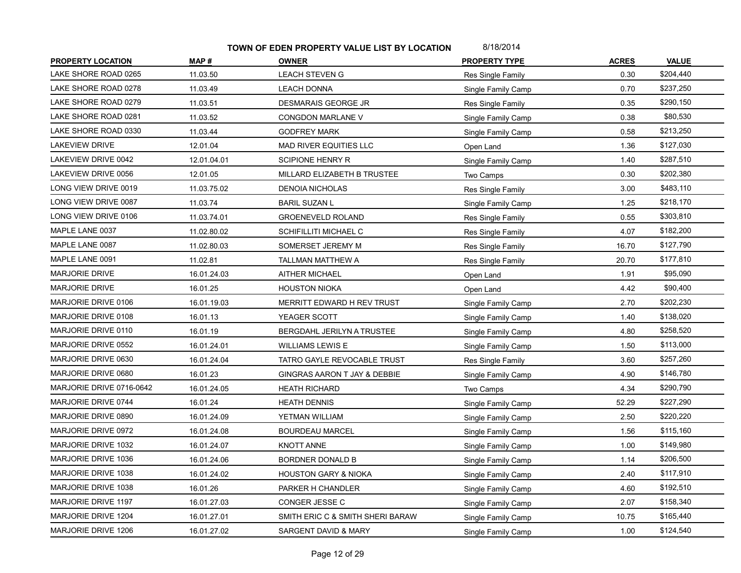| <b>PROPERTY LOCATION</b> | MAP#        | <b>OWNER</b>                     | <b>PROPERTY TYPE</b> | <b>ACRES</b> | <b>VALUE</b> |
|--------------------------|-------------|----------------------------------|----------------------|--------------|--------------|
| LAKE SHORE ROAD 0265     | 11.03.50    | <b>LEACH STEVEN G</b>            | Res Single Family    | 0.30         | \$204,440    |
| LAKE SHORE ROAD 0278     | 11.03.49    | <b>LEACH DONNA</b>               | Single Family Camp   | 0.70         | \$237,250    |
| LAKE SHORE ROAD 0279     | 11.03.51    | DESMARAIS GEORGE JR              | Res Single Family    | 0.35         | \$290,150    |
| LAKE SHORE ROAD 0281     | 11.03.52    | CONGDON MARLANE V                | Single Family Camp   | 0.38         | \$80,530     |
| LAKE SHORE ROAD 0330     | 11.03.44    | <b>GODFREY MARK</b>              | Single Family Camp   | 0.58         | \$213,250    |
| LAKEVIEW DRIVE           | 12.01.04    | MAD RIVER EQUITIES LLC           | Open Land            | 1.36         | \$127,030    |
| LAKEVIEW DRIVE 0042      | 12.01.04.01 | <b>SCIPIONE HENRY R</b>          | Single Family Camp   | 1.40         | \$287,510    |
| LAKEVIEW DRIVE 0056      | 12.01.05    | MILLARD ELIZABETH B TRUSTEE      | Two Camps            | 0.30         | \$202,380    |
| LONG VIEW DRIVE 0019     | 11.03.75.02 | <b>DENOIA NICHOLAS</b>           | Res Single Family    | 3.00         | \$483,110    |
| LONG VIEW DRIVE 0087     | 11.03.74    | <b>BARIL SUZAN L</b>             | Single Family Camp   | 1.25         | \$218,170    |
| LONG VIEW DRIVE 0106     | 11.03.74.01 | <b>GROENEVELD ROLAND</b>         | Res Single Family    | 0.55         | \$303,810    |
| MAPLE LANE 0037          | 11.02.80.02 | SCHIFILLITI MICHAEL C            | Res Single Family    | 4.07         | \$182,200    |
| MAPLE LANE 0087          | 11.02.80.03 | SOMERSET JEREMY M                | Res Single Family    | 16.70        | \$127,790    |
| MAPLE LANE 0091          | 11.02.81    | TALLMAN MATTHEW A                | Res Single Family    | 20.70        | \$177,810    |
| <b>MARJORIE DRIVE</b>    | 16.01.24.03 | <b>AITHER MICHAEL</b>            | Open Land            | 1.91         | \$95,090     |
| <b>MARJORIE DRIVE</b>    | 16.01.25    | <b>HOUSTON NIOKA</b>             | Open Land            | 4.42         | \$90,400     |
| MARJORIE DRIVE 0106      | 16.01.19.03 | MERRITT EDWARD H REV TRUST       | Single Family Camp   | 2.70         | \$202,230    |
| MARJORIE DRIVE 0108      | 16.01.13    | YEAGER SCOTT                     | Single Family Camp   | 1.40         | \$138,020    |
| MARJORIE DRIVE 0110      | 16.01.19    | BERGDAHL JERILYN A TRUSTEE       | Single Family Camp   | 4.80         | \$258,520    |
| MARJORIE DRIVE 0552      | 16.01.24.01 | <b>WILLIAMS LEWIS E</b>          | Single Family Camp   | 1.50         | \$113,000    |
| MARJORIE DRIVE 0630      | 16.01.24.04 | TATRO GAYLE REVOCABLE TRUST      | Res Single Family    | 3.60         | \$257,260    |
| MARJORIE DRIVE 0680      | 16.01.23    | GINGRAS AARON T JAY & DEBBIE     | Single Family Camp   | 4.90         | \$146,780    |
| MARJORIE DRIVE 0716-0642 | 16.01.24.05 | <b>HEATH RICHARD</b>             | Two Camps            | 4.34         | \$290,790    |
| MARJORIE DRIVE 0744      | 16.01.24    | <b>HEATH DENNIS</b>              | Single Family Camp   | 52.29        | \$227,290    |
| MARJORIE DRIVE 0890      | 16.01.24.09 | YETMAN WILLIAM                   | Single Family Camp   | 2.50         | \$220,220    |
| MARJORIE DRIVE 0972      | 16.01.24.08 | <b>BOURDEAU MARCEL</b>           | Single Family Camp   | 1.56         | \$115,160    |
| MARJORIE DRIVE 1032      | 16.01.24.07 | <b>KNOTT ANNE</b>                | Single Family Camp   | 1.00         | \$149,980    |
| MARJORIE DRIVE 1036      | 16.01.24.06 | BORDNER DONALD B                 | Single Family Camp   | 1.14         | \$206,500    |
| MARJORIE DRIVE 1038      | 16.01.24.02 | <b>HOUSTON GARY &amp; NIOKA</b>  | Single Family Camp   | 2.40         | \$117,910    |
| MARJORIE DRIVE 1038      | 16.01.26    | PARKER H CHANDLER                | Single Family Camp   | 4.60         | \$192,510    |
| MARJORIE DRIVE 1197      | 16.01.27.03 | CONGER JESSE C                   | Single Family Camp   | 2.07         | \$158,340    |
| MARJORIE DRIVE 1204      | 16.01.27.01 | SMITH ERIC C & SMITH SHERI BARAW | Single Family Camp   | 10.75        | \$165,440    |
| MARJORIE DRIVE 1206      | 16.01.27.02 | SARGENT DAVID & MARY             | Single Family Camp   | 1.00         | \$124,540    |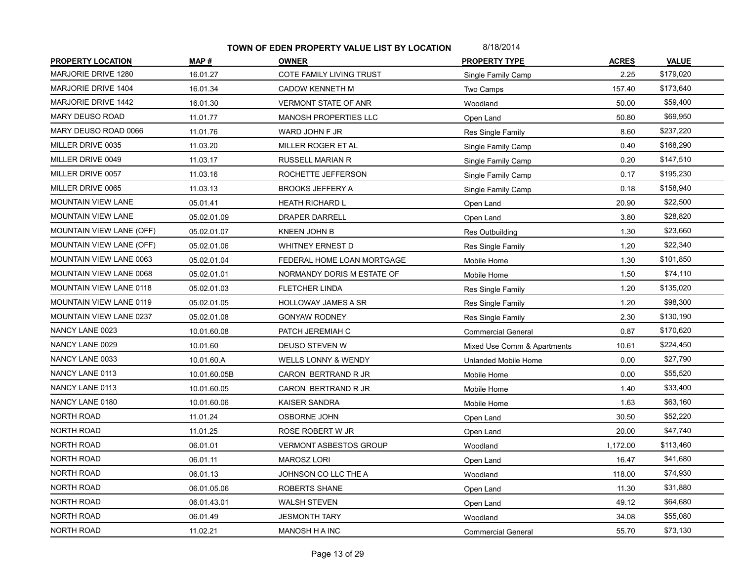| <b>PROPERTY LOCATION</b>        | MAP#         | <b>OWNER</b>                | <b>PROPERTY TYPE</b>        | <b>ACRES</b> | <b>VALUE</b> |
|---------------------------------|--------------|-----------------------------|-----------------------------|--------------|--------------|
| MARJORIE DRIVE 1280             | 16.01.27     | COTE FAMILY LIVING TRUST    | Single Family Camp          | 2.25         | \$179,020    |
| <b>MARJORIE DRIVE 1404</b>      | 16.01.34     | <b>CADOW KENNETH M</b>      | Two Camps                   | 157.40       | \$173,640    |
| MARJORIE DRIVE 1442             | 16.01.30     | <b>VERMONT STATE OF ANR</b> | Woodland                    | 50.00        | \$59,400     |
| <b>MARY DEUSO ROAD</b>          | 11.01.77     | MANOSH PROPERTIES LLC       | Open Land                   | 50.80        | \$69,950     |
| MARY DEUSO ROAD 0066            | 11.01.76     | WARD JOHN F JR              | Res Single Family           | 8.60         | \$237,220    |
| MILLER DRIVE 0035               | 11.03.20     | MILLER ROGER ET AL          | Single Family Camp          | 0.40         | \$168,290    |
| MILLER DRIVE 0049               | 11.03.17     | <b>RUSSELL MARIAN R</b>     | Single Family Camp          | 0.20         | \$147,510    |
| MILLER DRIVE 0057               | 11.03.16     | ROCHETTE JEFFERSON          | Single Family Camp          | 0.17         | \$195,230    |
| MILLER DRIVE 0065               | 11.03.13     | <b>BROOKS JEFFERY A</b>     | Single Family Camp          | 0.18         | \$158,940    |
| <b>MOUNTAIN VIEW LANE</b>       | 05.01.41     | <b>HEATH RICHARD L</b>      | Open Land                   | 20.90        | \$22,500     |
| <b>MOUNTAIN VIEW LANE</b>       | 05.02.01.09  | <b>DRAPER DARRELL</b>       | Open Land                   | 3.80         | \$28,820     |
| <b>MOUNTAIN VIEW LANE (OFF)</b> | 05.02.01.07  | KNEEN JOHN B                | <b>Res Outbuilding</b>      | 1.30         | \$23,660     |
| <b>MOUNTAIN VIEW LANE (OFF)</b> | 05.02.01.06  | WHITNEY ERNEST D            | Res Single Family           | 1.20         | \$22,340     |
| MOUNTAIN VIEW LANE 0063         | 05.02.01.04  | FEDERAL HOME LOAN MORTGAGE  | Mobile Home                 | 1.30         | \$101,850    |
| MOUNTAIN VIEW LANE 0068         | 05.02.01.01  | NORMANDY DORIS M ESTATE OF  | Mobile Home                 | 1.50         | \$74,110     |
| MOUNTAIN VIEW LANE 0118         | 05.02.01.03  | <b>FLETCHER LINDA</b>       | Res Single Family           | 1.20         | \$135,020    |
| <b>MOUNTAIN VIEW LANE 0119</b>  | 05.02.01.05  | <b>HOLLOWAY JAMES A SR</b>  | Res Single Family           | 1.20         | \$98,300     |
| <b>MOUNTAIN VIEW LANE 0237</b>  | 05.02.01.08  | <b>GONYAW RODNEY</b>        | Res Single Family           | 2.30         | \$130,190    |
| NANCY LANE 0023                 | 10.01.60.08  | PATCH JEREMIAH C            | <b>Commercial General</b>   | 0.87         | \$170,620    |
| NANCY LANE 0029                 | 10.01.60     | DEUSO STEVEN W              | Mixed Use Comm & Apartments | 10.61        | \$224,450    |
| NANCY LANE 0033                 | 10.01.60.A   | WELLS LONNY & WENDY         | Unlanded Mobile Home        | 0.00         | \$27,790     |
| NANCY LANE 0113                 | 10.01.60.05B | CARON BERTRAND R JR         | Mobile Home                 | 0.00         | \$55,520     |
| NANCY LANE 0113                 | 10.01.60.05  | CARON BERTRAND R JR         | Mobile Home                 | 1.40         | \$33,400     |
| NANCY LANE 0180                 | 10.01.60.06  | <b>KAISER SANDRA</b>        | Mobile Home                 | 1.63         | \$63,160     |
| <b>NORTH ROAD</b>               | 11.01.24     | OSBORNE JOHN                | Open Land                   | 30.50        | \$52,220     |
| NORTH ROAD                      | 11.01.25     | ROSE ROBERT W JR            | Open Land                   | 20.00        | \$47,740     |
| NORTH ROAD                      | 06.01.01     | VERMONT ASBESTOS GROUP      | Woodland                    | 1,172.00     | \$113,460    |
| <b>NORTH ROAD</b>               | 06.01.11     | <b>MAROSZ LORI</b>          | Open Land                   | 16.47        | \$41,680     |
| <b>NORTH ROAD</b>               | 06.01.13     | JOHNSON CO LLC THE A        | Woodland                    | 118.00       | \$74,930     |
| NORTH ROAD                      | 06.01.05.06  | ROBERTS SHANE               | Open Land                   | 11.30        | \$31,880     |
| <b>NORTH ROAD</b>               | 06.01.43.01  | <b>WALSH STEVEN</b>         | Open Land                   | 49.12        | \$64,680     |
| <b>NORTH ROAD</b>               | 06.01.49     | <b>JESMONTH TARY</b>        | Woodland                    | 34.08        | \$55,080     |
| <b>NORTH ROAD</b>               | 11.02.21     | <b>MANOSH HA INC</b>        | <b>Commercial General</b>   | 55.70        | \$73,130     |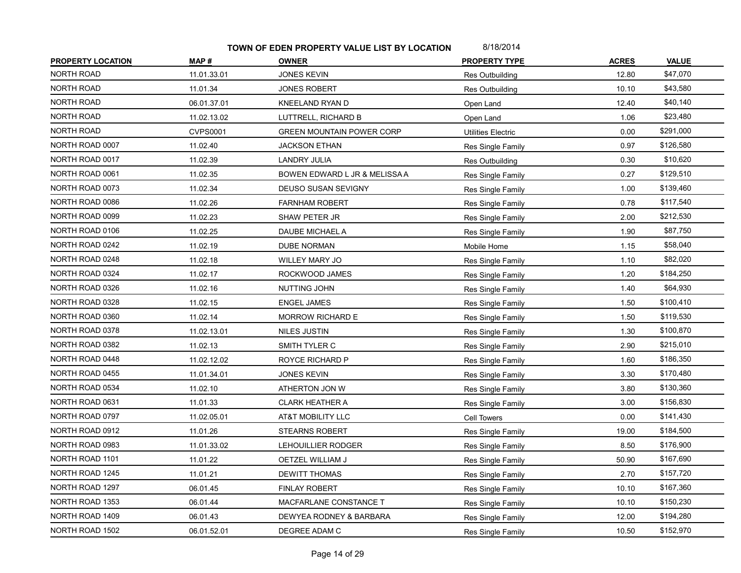| <b>PROPERTY LOCATION</b> | MAP#            | <b>OWNER</b>                     | <b>PROPERTY TYPE</b>      | <b>ACRES</b> | <b>VALUE</b> |
|--------------------------|-----------------|----------------------------------|---------------------------|--------------|--------------|
| <b>NORTH ROAD</b>        | 11.01.33.01     | <b>JONES KEVIN</b>               | Res Outbuilding           | 12.80        | \$47,070     |
| NORTH ROAD               | 11.01.34        | <b>JONES ROBERT</b>              | Res Outbuilding           | 10.10        | \$43,580     |
| <b>NORTH ROAD</b>        | 06.01.37.01     | KNEELAND RYAN D                  | Open Land                 | 12.40        | \$40,140     |
| NORTH ROAD               | 11.02.13.02     | LUTTRELL, RICHARD B              | Open Land                 | 1.06         | \$23,480     |
| NORTH ROAD               | <b>CVPS0001</b> | <b>GREEN MOUNTAIN POWER CORP</b> | <b>Utilities Electric</b> | 0.00         | \$291,000    |
| NORTH ROAD 0007          | 11.02.40        | <b>JACKSON ETHAN</b>             | Res Single Family         | 0.97         | \$126,580    |
| NORTH ROAD 0017          | 11.02.39        | <b>LANDRY JULIA</b>              | Res Outbuilding           | 0.30         | \$10,620     |
| NORTH ROAD 0061          | 11.02.35        | BOWEN EDWARD L JR & MELISSA A    | Res Single Family         | 0.27         | \$129,510    |
| NORTH ROAD 0073          | 11.02.34        | <b>DEUSO SUSAN SEVIGNY</b>       | Res Single Family         | 1.00         | \$139,460    |
| NORTH ROAD 0086          | 11.02.26        | <b>FARNHAM ROBERT</b>            | Res Single Family         | 0.78         | \$117,540    |
| NORTH ROAD 0099          | 11.02.23        | SHAW PETER JR                    | Res Single Family         | 2.00         | \$212,530    |
| NORTH ROAD 0106          | 11.02.25        | DAUBE MICHAEL A                  | Res Single Family         | 1.90         | \$87,750     |
| NORTH ROAD 0242          | 11.02.19        | DUBE NORMAN                      | Mobile Home               | 1.15         | \$58,040     |
| NORTH ROAD 0248          | 11.02.18        | WILLEY MARY JO                   | Res Single Family         | 1.10         | \$82,020     |
| NORTH ROAD 0324          | 11.02.17        | ROCKWOOD JAMES                   | Res Single Family         | 1.20         | \$184,250    |
| NORTH ROAD 0326          | 11.02.16        | NUTTING JOHN                     | Res Single Family         | 1.40         | \$64,930     |
| NORTH ROAD 0328          | 11.02.15        | <b>ENGEL JAMES</b>               | Res Single Family         | 1.50         | \$100,410    |
| NORTH ROAD 0360          | 11.02.14        | <b>MORROW RICHARD E</b>          | Res Single Family         | 1.50         | \$119,530    |
| NORTH ROAD 0378          | 11.02.13.01     | <b>NILES JUSTIN</b>              | Res Single Family         | 1.30         | \$100,870    |
| NORTH ROAD 0382          | 11.02.13        | SMITH TYLER C                    | Res Single Family         | 2.90         | \$215,010    |
| NORTH ROAD 0448          | 11.02.12.02     | ROYCE RICHARD P                  | Res Single Family         | 1.60         | \$186,350    |
| NORTH ROAD 0455          | 11.01.34.01     | <b>JONES KEVIN</b>               | Res Single Family         | 3.30         | \$170,480    |
| NORTH ROAD 0534          | 11.02.10        | ATHERTON JON W                   | Res Single Family         | 3.80         | \$130,360    |
| NORTH ROAD 0631          | 11.01.33        | <b>CLARK HEATHER A</b>           | Res Single Family         | 3.00         | \$156,830    |
| NORTH ROAD 0797          | 11.02.05.01     | AT&T MOBILITY LLC                | Cell Towers               | 0.00         | \$141,430    |
| NORTH ROAD 0912          | 11.01.26        | <b>STEARNS ROBERT</b>            | Res Single Family         | 19.00        | \$184,500    |
| NORTH ROAD 0983          | 11.01.33.02     | LEHOUILLIER RODGER               | Res Single Family         | 8.50         | \$176,900    |
| NORTH ROAD 1101          | 11.01.22        | OETZEL WILLIAM J                 | Res Single Family         | 50.90        | \$167,690    |
| NORTH ROAD 1245          | 11.01.21        | <b>DEWITT THOMAS</b>             | Res Single Family         | 2.70         | \$157,720    |
| NORTH ROAD 1297          | 06.01.45        | <b>FINLAY ROBERT</b>             | Res Single Family         | 10.10        | \$167,360    |
| NORTH ROAD 1353          | 06.01.44        | MACFARLANE CONSTANCE T           | Res Single Family         | 10.10        | \$150,230    |
| NORTH ROAD 1409          | 06.01.43        | DEWYEA RODNEY & BARBARA          | Res Single Family         | 12.00        | \$194,280    |
| NORTH ROAD 1502          | 06.01.52.01     | DEGREE ADAM C                    | Res Single Family         | 10.50        | \$152,970    |
|                          |                 |                                  |                           |              |              |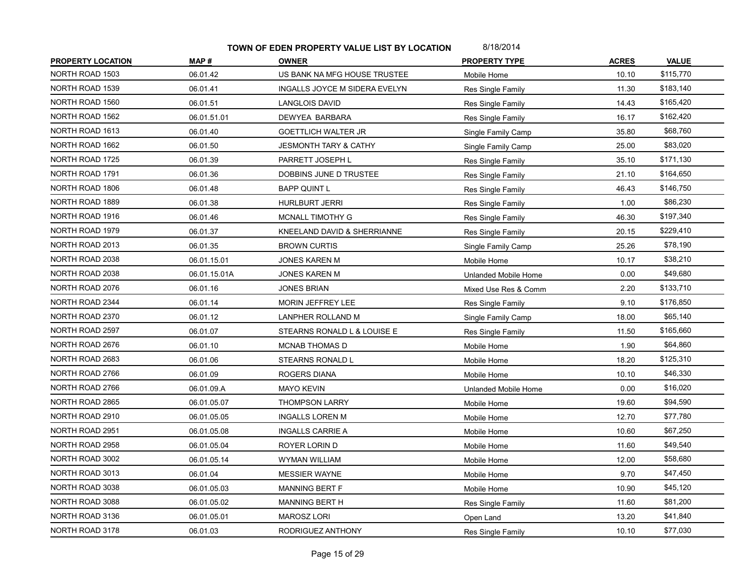| <b>PROPERTY LOCATION</b> | MAP#         | <b>OWNER</b>                     | <b>PROPERTY TYPE</b> | <b>ACRES</b> | <b>VALUE</b> |
|--------------------------|--------------|----------------------------------|----------------------|--------------|--------------|
| NORTH ROAD 1503          | 06.01.42     | US BANK NA MFG HOUSE TRUSTEE     | Mobile Home          | 10.10        | \$115,770    |
| NORTH ROAD 1539          | 06.01.41     | INGALLS JOYCE M SIDERA EVELYN    | Res Single Family    | 11.30        | \$183,140    |
| NORTH ROAD 1560          | 06.01.51     | <b>LANGLOIS DAVID</b>            | Res Single Family    | 14.43        | \$165,420    |
| NORTH ROAD 1562          | 06.01.51.01  | DEWYEA BARBARA                   | Res Single Family    | 16.17        | \$162,420    |
| NORTH ROAD 1613          | 06.01.40     | <b>GOETTLICH WALTER JR</b>       | Single Family Camp   | 35.80        | \$68,760     |
| NORTH ROAD 1662          | 06.01.50     | <b>JESMONTH TARY &amp; CATHY</b> | Single Family Camp   | 25.00        | \$83,020     |
| NORTH ROAD 1725          | 06.01.39     | PARRETT JOSEPH L                 | Res Single Family    | 35.10        | \$171,130    |
| NORTH ROAD 1791          | 06.01.36     | DOBBINS JUNE D TRUSTEE           | Res Single Family    | 21.10        | \$164,650    |
| NORTH ROAD 1806          | 06.01.48     | <b>BAPP QUINT L</b>              | Res Single Family    | 46.43        | \$146,750    |
| NORTH ROAD 1889          | 06.01.38     | <b>HURLBURT JERRI</b>            | Res Single Family    | 1.00         | \$86,230     |
| NORTH ROAD 1916          | 06.01.46     | MCNALL TIMOTHY G                 | Res Single Family    | 46.30        | \$197,340    |
| NORTH ROAD 1979          | 06.01.37     | KNEELAND DAVID & SHERRIANNE      | Res Single Family    | 20.15        | \$229,410    |
| NORTH ROAD 2013          | 06.01.35     | <b>BROWN CURTIS</b>              | Single Family Camp   | 25.26        | \$78,190     |
| NORTH ROAD 2038          | 06.01.15.01  | <b>JONES KAREN M</b>             | Mobile Home          | 10.17        | \$38,210     |
| NORTH ROAD 2038          | 06.01.15.01A | <b>JONES KAREN M</b>             | Unlanded Mobile Home | 0.00         | \$49,680     |
| NORTH ROAD 2076          | 06.01.16     | <b>JONES BRIAN</b>               | Mixed Use Res & Comm | 2.20         | \$133,710    |
| NORTH ROAD 2344          | 06.01.14     | MORIN JEFFREY LEE                | Res Single Family    | 9.10         | \$176,850    |
| NORTH ROAD 2370          | 06.01.12     | LANPHER ROLLAND M                | Single Family Camp   | 18.00        | \$65,140     |
| NORTH ROAD 2597          | 06.01.07     | STEARNS RONALD L & LOUISE E      | Res Single Family    | 11.50        | \$165,660    |
| NORTH ROAD 2676          | 06.01.10     | <b>MCNAB THOMAS D</b>            | Mobile Home          | 1.90         | \$64,860     |
| NORTH ROAD 2683          | 06.01.06     | STEARNS RONALD L                 | Mobile Home          | 18.20        | \$125,310    |
| NORTH ROAD 2766          | 06.01.09     | ROGERS DIANA                     | Mobile Home          | 10.10        | \$46,330     |
| NORTH ROAD 2766          | 06.01.09.A   | <b>MAYO KEVIN</b>                | Unlanded Mobile Home | 0.00         | \$16,020     |
| NORTH ROAD 2865          | 06.01.05.07  | <b>THOMPSON LARRY</b>            | Mobile Home          | 19.60        | \$94,590     |
| NORTH ROAD 2910          | 06.01.05.05  | <b>INGALLS LOREN M</b>           | Mobile Home          | 12.70        | \$77,780     |
| NORTH ROAD 2951          | 06.01.05.08  | <b>INGALLS CARRIE A</b>          | Mobile Home          | 10.60        | \$67,250     |
| NORTH ROAD 2958          | 06.01.05.04  | ROYER LORIN D                    | Mobile Home          | 11.60        | \$49,540     |
| NORTH ROAD 3002          | 06.01.05.14  | WYMAN WILLIAM                    | Mobile Home          | 12.00        | \$58,680     |
| NORTH ROAD 3013          | 06.01.04     | <b>MESSIER WAYNE</b>             | Mobile Home          | 9.70         | \$47,450     |
| NORTH ROAD 3038          | 06.01.05.03  | <b>MANNING BERT F</b>            | Mobile Home          | 10.90        | \$45,120     |
| NORTH ROAD 3088          | 06.01.05.02  | <b>MANNING BERT H</b>            | Res Single Family    | 11.60        | \$81,200     |
| NORTH ROAD 3136          | 06.01.05.01  | <b>MAROSZ LORI</b>               | Open Land            | 13.20        | \$41,840     |
| NORTH ROAD 3178          | 06.01.03     | RODRIGUEZ ANTHONY                | Res Single Family    | 10.10        | \$77,030     |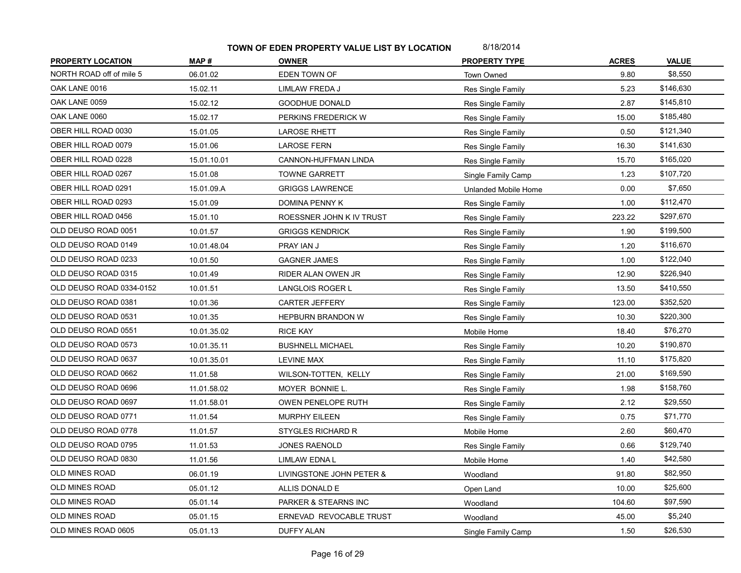| <b>PROPERTY LOCATION</b> | MAP#        | <b>OWNER</b>             | <b>PROPERTY TYPE</b> | <b>ACRES</b> | <b>VALUE</b> |
|--------------------------|-------------|--------------------------|----------------------|--------------|--------------|
| NORTH ROAD off of mile 5 | 06.01.02    | EDEN TOWN OF             | Town Owned           | 9.80         | \$8,550      |
| OAK LANE 0016            | 15.02.11    | LIMLAW FREDA J           | Res Single Family    | 5.23         | \$146,630    |
| OAK LANE 0059            | 15.02.12    | <b>GOODHUE DONALD</b>    | Res Single Family    | 2.87         | \$145,810    |
| OAK LANE 0060            | 15.02.17    | PERKINS FREDERICK W      | Res Single Family    | 15.00        | \$185,480    |
| OBER HILL ROAD 0030      | 15.01.05    | <b>LAROSE RHETT</b>      | Res Single Family    | 0.50         | \$121,340    |
| OBER HILL ROAD 0079      | 15.01.06    | <b>LAROSE FERN</b>       | Res Single Family    | 16.30        | \$141,630    |
| OBER HILL ROAD 0228      | 15.01.10.01 | CANNON-HUFFMAN LINDA     | Res Single Family    | 15.70        | \$165,020    |
| OBER HILL ROAD 0267      | 15.01.08    | TOWNE GARRETT            | Single Family Camp   | 1.23         | \$107,720    |
| OBER HILL ROAD 0291      | 15.01.09.A  | <b>GRIGGS LAWRENCE</b>   | Unlanded Mobile Home | 0.00         | \$7,650      |
| OBER HILL ROAD 0293      | 15.01.09    | DOMINA PENNY K           | Res Single Family    | 1.00         | \$112,470    |
| OBER HILL ROAD 0456      | 15.01.10    | ROESSNER JOHN K IV TRUST | Res Single Family    | 223.22       | \$297,670    |
| OLD DEUSO ROAD 0051      | 10.01.57    | <b>GRIGGS KENDRICK</b>   | Res Single Family    | 1.90         | \$199,500    |
| OLD DEUSO ROAD 0149      | 10.01.48.04 | PRAY IAN J               | Res Single Family    | 1.20         | \$116,670    |
| OLD DEUSO ROAD 0233      | 10.01.50    | <b>GAGNER JAMES</b>      | Res Single Family    | 1.00         | \$122,040    |
| OLD DEUSO ROAD 0315      | 10.01.49    | RIDER ALAN OWEN JR       | Res Single Family    | 12.90        | \$226,940    |
| OLD DEUSO ROAD 0334-0152 | 10.01.51    | LANGLOIS ROGER L         | Res Single Family    | 13.50        | \$410,550    |
| OLD DEUSO ROAD 0381      | 10.01.36    | <b>CARTER JEFFERY</b>    | Res Single Family    | 123.00       | \$352,520    |
| OLD DEUSO ROAD 0531      | 10.01.35    | HEPBURN BRANDON W        | Res Single Family    | 10.30        | \$220,300    |
| OLD DEUSO ROAD 0551      | 10.01.35.02 | <b>RICE KAY</b>          | Mobile Home          | 18.40        | \$76,270     |
| OLD DEUSO ROAD 0573      | 10.01.35.11 | <b>BUSHNELL MICHAEL</b>  | Res Single Family    | 10.20        | \$190,870    |
| OLD DEUSO ROAD 0637      | 10.01.35.01 | <b>LEVINE MAX</b>        | Res Single Family    | 11.10        | \$175,820    |
| OLD DEUSO ROAD 0662      | 11.01.58    | WILSON-TOTTEN, KELLY     | Res Single Family    | 21.00        | \$169,590    |
| OLD DEUSO ROAD 0696      | 11.01.58.02 | MOYER BONNIE L.          | Res Single Family    | 1.98         | \$158,760    |
| OLD DEUSO ROAD 0697      | 11.01.58.01 | OWEN PENELOPE RUTH       | Res Single Family    | 2.12         | \$29,550     |
| OLD DEUSO ROAD 0771      | 11.01.54    | <b>MURPHY EILEEN</b>     | Res Single Family    | 0.75         | \$71,770     |
| OLD DEUSO ROAD 0778      | 11.01.57    | <b>STYGLES RICHARD R</b> | Mobile Home          | 2.60         | \$60,470     |
| OLD DEUSO ROAD 0795      | 11.01.53    | <b>JONES RAENOLD</b>     | Res Single Family    | 0.66         | \$129,740    |
| OLD DEUSO ROAD 0830      | 11.01.56    | LIMLAW EDNA L            | Mobile Home          | 1.40         | \$42,580     |
| <b>OLD MINES ROAD</b>    | 06.01.19    | LIVINGSTONE JOHN PETER & | Woodland             | 91.80        | \$82,950     |
| <b>OLD MINES ROAD</b>    | 05.01.12    | ALLIS DONALD E           | Open Land            | 10.00        | \$25,600     |
| OLD MINES ROAD           | 05.01.14    | PARKER & STEARNS INC     | Woodland             | 104.60       | \$97,590     |
| OLD MINES ROAD           | 05.01.15    | ERNEVAD REVOCABLE TRUST  | Woodland             | 45.00        | \$5,240      |
| OLD MINES ROAD 0605      | 05.01.13    | <b>DUFFY ALAN</b>        | Single Family Camp   | 1.50         | \$26,530     |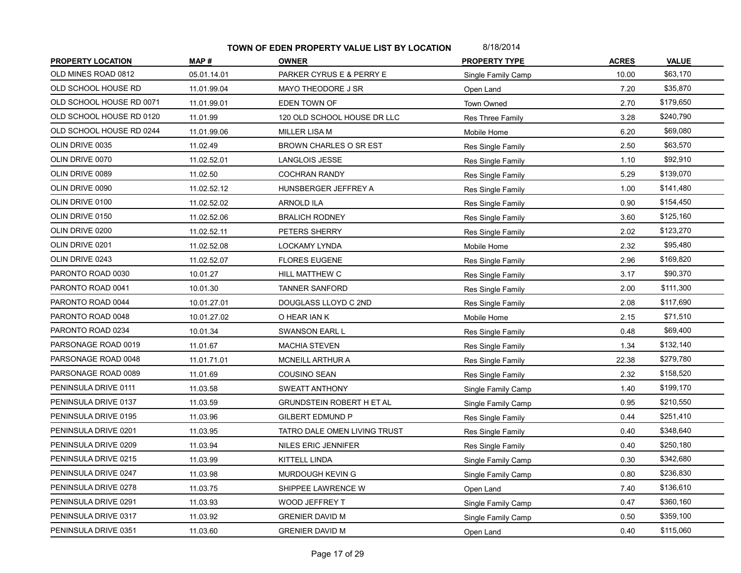| <b>PROPERTY LOCATION</b> | MAP#        | <b>OWNER</b>                     | <b>PROPERTY TYPE</b>     | <b>ACRES</b> | <b>VALUE</b> |
|--------------------------|-------------|----------------------------------|--------------------------|--------------|--------------|
| OLD MINES ROAD 0812      | 05.01.14.01 | PARKER CYRUS E & PERRY E         | Single Family Camp       | 10.00        | \$63,170     |
| OLD SCHOOL HOUSE RD      | 11.01.99.04 | MAYO THEODORE J SR               | Open Land                | 7.20         | \$35,870     |
| OLD SCHOOL HOUSE RD 0071 | 11.01.99.01 | EDEN TOWN OF                     | Town Owned               | 2.70         | \$179,650    |
| OLD SCHOOL HOUSE RD 0120 | 11.01.99    | 120 OLD SCHOOL HOUSE DR LLC      | Res Three Family         | 3.28         | \$240,790    |
| OLD SCHOOL HOUSE RD 0244 | 11.01.99.06 | MILLER LISA M                    | Mobile Home              | 6.20         | \$69,080     |
| OLIN DRIVE 0035          | 11.02.49    | <b>BROWN CHARLES O SR EST</b>    | Res Single Family        | 2.50         | \$63,570     |
| OLIN DRIVE 0070          | 11.02.52.01 | LANGLOIS JESSE                   | Res Single Family        | 1.10         | \$92,910     |
| OLIN DRIVE 0089          | 11.02.50    | <b>COCHRAN RANDY</b>             | Res Single Family        | 5.29         | \$139,070    |
| OLIN DRIVE 0090          | 11.02.52.12 | HUNSBERGER JEFFREY A             | <b>Res Single Family</b> | 1.00         | \$141,480    |
| OLIN DRIVE 0100          | 11.02.52.02 | <b>ARNOLD ILA</b>                | Res Single Family        | 0.90         | \$154,450    |
| OLIN DRIVE 0150          | 11.02.52.06 | <b>BRALICH RODNEY</b>            | Res Single Family        | 3.60         | \$125,160    |
| OLIN DRIVE 0200          | 11.02.52.11 | PETERS SHERRY                    | Res Single Family        | 2.02         | \$123,270    |
| OLIN DRIVE 0201          | 11.02.52.08 | LOCKAMY LYNDA                    | Mobile Home              | 2.32         | \$95,480     |
| OLIN DRIVE 0243          | 11.02.52.07 | <b>FLORES EUGENE</b>             | Res Single Family        | 2.96         | \$169,820    |
| PARONTO ROAD 0030        | 10.01.27    | HILL MATTHEW C                   | <b>Res Single Family</b> | 3.17         | \$90,370     |
| PARONTO ROAD 0041        | 10.01.30    | <b>TANNER SANFORD</b>            | Res Single Family        | 2.00         | \$111,300    |
| PARONTO ROAD 0044        | 10.01.27.01 | DOUGLASS LLOYD C 2ND             | Res Single Family        | 2.08         | \$117,690    |
| PARONTO ROAD 0048        | 10.01.27.02 | O HEAR IAN K                     | Mobile Home              | 2.15         | \$71,510     |
| PARONTO ROAD 0234        | 10.01.34    | SWANSON EARL L                   | Res Single Family        | 0.48         | \$69,400     |
| PARSONAGE ROAD 0019      | 11.01.67    | <b>MACHIA STEVEN</b>             | Res Single Family        | 1.34         | \$132,140    |
| PARSONAGE ROAD 0048      | 11.01.71.01 | <b>MCNEILL ARTHUR A</b>          | Res Single Family        | 22.38        | \$279,780    |
| PARSONAGE ROAD 0089      | 11.01.69    | COUSINO SEAN                     | Res Single Family        | 2.32         | \$158,520    |
| PENINSULA DRIVE 0111     | 11.03.58    | SWEATT ANTHONY                   | Single Family Camp       | 1.40         | \$199,170    |
| PENINSULA DRIVE 0137     | 11.03.59    | <b>GRUNDSTEIN ROBERT H ET AL</b> | Single Family Camp       | 0.95         | \$210,550    |
| PENINSULA DRIVE 0195     | 11.03.96    | <b>GILBERT EDMUND P</b>          | Res Single Family        | 0.44         | \$251,410    |
| PENINSULA DRIVE 0201     | 11.03.95    | TATRO DALE OMEN LIVING TRUST     | Res Single Family        | 0.40         | \$348,640    |
| PENINSULA DRIVE 0209     | 11.03.94    | <b>NILES ERIC JENNIFER</b>       | Res Single Family        | 0.40         | \$250,180    |
| PENINSULA DRIVE 0215     | 11.03.99    | KITTELL LINDA                    | Single Family Camp       | 0.30         | \$342,680    |
| PENINSULA DRIVE 0247     | 11.03.98    | MURDOUGH KEVIN G                 | Single Family Camp       | 0.80         | \$236,830    |
| PENINSULA DRIVE 0278     | 11.03.75    | SHIPPEE LAWRENCE W               | Open Land                | 7.40         | \$136,610    |
| PENINSULA DRIVE 0291     | 11.03.93    | WOOD JEFFREY T                   | Single Family Camp       | 0.47         | \$360,160    |
| PENINSULA DRIVE 0317     | 11.03.92    | <b>GRENIER DAVID M</b>           | Single Family Camp       | 0.50         | \$359,100    |
| PENINSULA DRIVE 0351     | 11.03.60    | <b>GRENIER DAVID M</b>           | Open Land                | 0.40         | \$115,060    |
|                          |             |                                  |                          |              |              |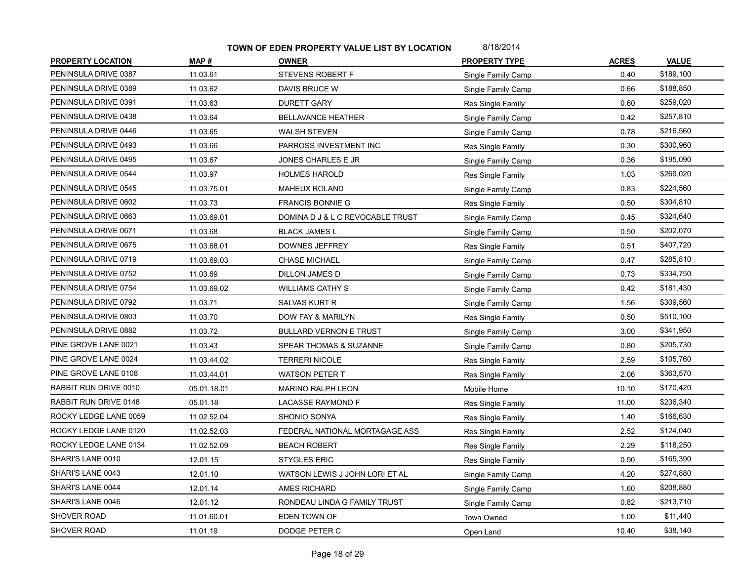| <b>PROPERTY LOCATION</b> | MAP#        | <b>OWNER</b>                     | <b>PROPERTY TYPE</b> | <b>ACRES</b> | <b>VALUE</b> |
|--------------------------|-------------|----------------------------------|----------------------|--------------|--------------|
| PENINSULA DRIVE 0387     | 11.03.61    | STEVENS ROBERT F                 | Single Family Camp   | 0.40         | \$189,100    |
| PENINSULA DRIVE 0389     | 11.03.62    | DAVIS BRUCE W                    | Single Family Camp   | 0.66         | \$188,850    |
| PENINSULA DRIVE 0391     | 11.03.63    | <b>DURETT GARY</b>               | Res Single Family    | 0.60         | \$259,020    |
| PENINSULA DRIVE 0438     | 11.03.64    | <b>BELLAVANCE HEATHER</b>        | Single Family Camp   | 0.42         | \$257,810    |
| PENINSULA DRIVE 0446     | 11.03.65    | <b>WALSH STEVEN</b>              | Single Family Camp   | 0.78         | \$216,560    |
| PENINSULA DRIVE 0493     | 11.03.66    | PARROSS INVESTMENT INC           | Res Single Family    | 0.30         | \$300,960    |
| PENINSULA DRIVE 0495     | 11.03.67    | JONES CHARLES E JR               | Single Family Camp   | 0.36         | \$195,090    |
| PENINSULA DRIVE 0544     | 11.03.97    | <b>HOLMES HAROLD</b>             | Res Single Family    | 1.03         | \$269,020    |
| PENINSULA DRIVE 0545     | 11.03.75.01 | <b>MAHEUX ROLAND</b>             | Single Family Camp   | 0.83         | \$224,560    |
| PENINSULA DRIVE 0602     | 11.03.73    | <b>FRANCIS BONNIE G</b>          | Res Single Family    | 0.50         | \$304,810    |
| PENINSULA DRIVE 0663     | 11.03.69.01 | DOMINA D J & L C REVOCABLE TRUST | Single Family Camp   | 0.45         | \$324,640    |
| PENINSULA DRIVE 0671     | 11.03.68    | <b>BLACK JAMES L</b>             | Single Family Camp   | 0.50         | \$202,070    |
| PENINSULA DRIVE 0675     | 11.03.68.01 | DOWNES JEFFREY                   | Res Single Family    | 0.51         | \$407,720    |
| PENINSULA DRIVE 0719     | 11.03.69.03 | <b>CHASE MICHAEL</b>             | Single Family Camp   | 0.47         | \$285,810    |
| PENINSULA DRIVE 0752     | 11.03.69    | <b>DILLON JAMES D</b>            | Single Family Camp   | 0.73         | \$334,750    |
| PENINSULA DRIVE 0754     | 11.03.69.02 | <b>WILLIAMS CATHY S</b>          | Single Family Camp   | 0.42         | \$181,430    |
| PENINSULA DRIVE 0792     | 11.03.71    | <b>SALVAS KURT R</b>             | Single Family Camp   | 1.56         | \$309,560    |
| PENINSULA DRIVE 0803     | 11.03.70    | DOW FAY & MARILYN                | Res Single Family    | 0.50         | \$510,100    |
| PENINSULA DRIVE 0882     | 11.03.72    | <b>BULLARD VERNON E TRUST</b>    | Single Family Camp   | 3.00         | \$341,950    |
| PINE GROVE LANE 0021     | 11.03.43    | SPEAR THOMAS & SUZANNE           | Single Family Camp   | 0.80         | \$205,730    |
| PINE GROVE LANE 0024     | 11.03.44.02 | <b>TERRERI NICOLE</b>            | Res Single Family    | 2.59         | \$105,760    |
| PINE GROVE LANE 0108     | 11.03.44.01 | <b>WATSON PETER T</b>            | Res Single Family    | 2.06         | \$363,570    |
| RABBIT RUN DRIVE 0010    | 05.01.18.01 | <b>MARINO RALPH LEON</b>         | Mobile Home          | 10.10        | \$170,420    |
| RABBIT RUN DRIVE 0148    | 05.01.18    | LACASSE RAYMOND F                | Res Single Family    | 11.00        | \$236,340    |
| ROCKY LEDGE LANE 0059    | 11.02.52.04 | SHONIO SONYA                     | Res Single Family    | 1.40         | \$166,630    |
| ROCKY LEDGE LANE 0120    | 11.02.52.03 | FEDERAL NATIONAL MORTAGAGE ASS   | Res Single Family    | 2.52         | \$124,040    |
| ROCKY LEDGE LANE 0134    | 11.02.52.09 | <b>BEACH ROBERT</b>              | Res Single Family    | 2.29         | \$118,250    |
| SHARI'S LANE 0010        | 12.01.15    | <b>STYGLES ERIC</b>              | Res Single Family    | 0.90         | \$165,390    |
| SHARI'S LANE 0043        | 12.01.10    | WATSON LEWIS J JOHN LORI ET AL   | Single Family Camp   | 4.20         | \$274,880    |
| SHARI'S LANE 0044        | 12.01.14    | AMES RICHARD                     | Single Family Camp   | 1.60         | \$208,880    |
| SHARI'S LANE 0046        | 12.01.12    | RONDEAU LINDA G FAMILY TRUST     | Single Family Camp   | 0.82         | \$213,710    |
| SHOVER ROAD              | 11.01.60.01 | EDEN TOWN OF                     | Town Owned           | 1.00         | \$11,440     |
| SHOVER ROAD              | 11.01.19    | DODGE PETER C                    | Open Land            | 10.40        | \$38,140     |
|                          |             |                                  |                      |              |              |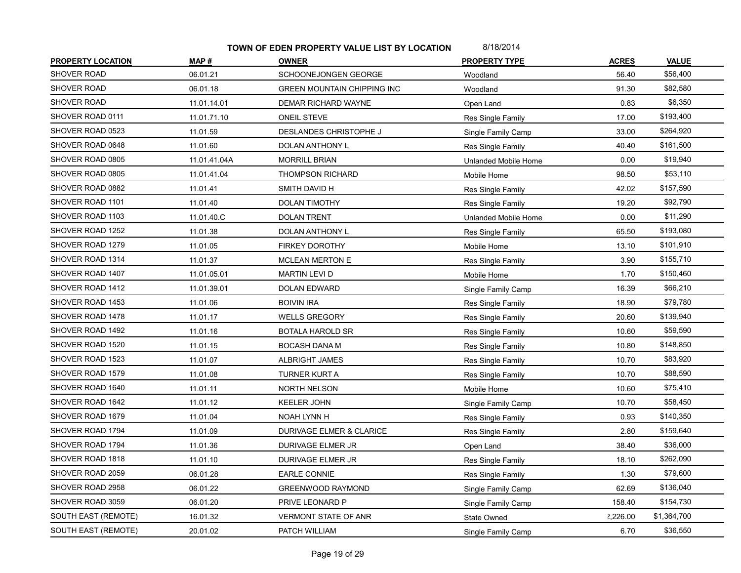| SHOVER ROAD<br>\$56,400<br>06.01.21<br>SCHOONEJONGEN GEORGE<br>56.40<br>Woodland<br>\$82,580<br>SHOVER ROAD<br>06.01.18<br>91.30<br><b>GREEN MOUNTAIN CHIPPING INC</b><br>Woodland<br>SHOVER ROAD<br>\$6,350<br>11.01.14.01<br>0.83<br>DEMAR RICHARD WAYNE<br>Open Land<br>SHOVER ROAD 0111<br>\$193,400<br>11.01.71.10<br><b>ONEIL STEVE</b><br>17.00<br>Res Single Family<br>SHOVER ROAD 0523<br>\$264,920<br>11.01.59<br>DESLANDES CHRISTOPHE J<br>33.00<br>Single Family Camp<br>SHOVER ROAD 0648<br>\$161,500<br>40.40<br>11.01.60<br>DOLAN ANTHONY L<br>Res Single Family<br>SHOVER ROAD 0805<br>\$19,940<br>11.01.41.04A<br><b>MORRILL BRIAN</b><br>0.00<br>Unlanded Mobile Home<br>\$53,110<br>SHOVER ROAD 0805<br>98.50<br>11.01.41.04<br><b>THOMPSON RICHARD</b><br>Mobile Home<br>\$157,590<br>SHOVER ROAD 0882<br>11.01.41<br>SMITH DAVID H<br>42.02<br>Res Single Family<br>SHOVER ROAD 1101<br>\$92,790<br>11.01.40<br><b>DOLAN TIMOTHY</b><br>19.20<br>Res Single Family<br>SHOVER ROAD 1103<br>\$11,290<br>0.00<br>11.01.40.C<br><b>DOLAN TRENT</b><br>Unlanded Mobile Home<br>\$193,080<br>SHOVER ROAD 1252<br>11.01.38<br>65.50<br>DOLAN ANTHONY L<br>Res Single Family<br>SHOVER ROAD 1279<br>\$101,910<br>11.01.05<br><b>FIRKEY DOROTHY</b><br>13.10<br>Mobile Home<br>SHOVER ROAD 1314<br>\$155,710<br>11.01.37<br><b>MCLEAN MERTON E</b><br>3.90<br>Res Single Family<br>SHOVER ROAD 1407<br>\$150,460<br><b>MARTIN LEVI D</b><br>1.70<br>11.01.05.01<br>Mobile Home<br>\$66,210<br>SHOVER ROAD 1412<br>11.01.39.01<br><b>DOLAN EDWARD</b><br>16.39<br>Single Family Camp<br>SHOVER ROAD 1453<br>\$79,780<br>11.01.06<br><b>BOIVIN IRA</b><br>18.90<br>Res Single Family<br>\$139,940<br>SHOVER ROAD 1478<br>11.01.17<br>20.60<br><b>WELLS GREGORY</b><br>Res Single Family<br>SHOVER ROAD 1492<br>\$59,590<br>11.01.16<br><b>BOTALA HAROLD SR</b><br>10.60<br>Res Single Family<br>SHOVER ROAD 1520<br>\$148,850<br>11.01.15<br>10.80<br><b>BOCASH DANA M</b><br>Res Single Family<br>\$83,920<br>SHOVER ROAD 1523<br>11.01.07<br><b>ALBRIGHT JAMES</b><br>10.70<br>Res Single Family<br>\$88,590<br>SHOVER ROAD 1579<br>11.01.08<br><b>TURNER KURT A</b><br>10.70<br>Res Single Family |
|----------------------------------------------------------------------------------------------------------------------------------------------------------------------------------------------------------------------------------------------------------------------------------------------------------------------------------------------------------------------------------------------------------------------------------------------------------------------------------------------------------------------------------------------------------------------------------------------------------------------------------------------------------------------------------------------------------------------------------------------------------------------------------------------------------------------------------------------------------------------------------------------------------------------------------------------------------------------------------------------------------------------------------------------------------------------------------------------------------------------------------------------------------------------------------------------------------------------------------------------------------------------------------------------------------------------------------------------------------------------------------------------------------------------------------------------------------------------------------------------------------------------------------------------------------------------------------------------------------------------------------------------------------------------------------------------------------------------------------------------------------------------------------------------------------------------------------------------------------------------------------------------------------------------------------------------------------------------------------------------------------------------------------------------------------------------------------------------------------------------------------------------------------------------------------------------------------------|
|                                                                                                                                                                                                                                                                                                                                                                                                                                                                                                                                                                                                                                                                                                                                                                                                                                                                                                                                                                                                                                                                                                                                                                                                                                                                                                                                                                                                                                                                                                                                                                                                                                                                                                                                                                                                                                                                                                                                                                                                                                                                                                                                                                                                                |
|                                                                                                                                                                                                                                                                                                                                                                                                                                                                                                                                                                                                                                                                                                                                                                                                                                                                                                                                                                                                                                                                                                                                                                                                                                                                                                                                                                                                                                                                                                                                                                                                                                                                                                                                                                                                                                                                                                                                                                                                                                                                                                                                                                                                                |
|                                                                                                                                                                                                                                                                                                                                                                                                                                                                                                                                                                                                                                                                                                                                                                                                                                                                                                                                                                                                                                                                                                                                                                                                                                                                                                                                                                                                                                                                                                                                                                                                                                                                                                                                                                                                                                                                                                                                                                                                                                                                                                                                                                                                                |
|                                                                                                                                                                                                                                                                                                                                                                                                                                                                                                                                                                                                                                                                                                                                                                                                                                                                                                                                                                                                                                                                                                                                                                                                                                                                                                                                                                                                                                                                                                                                                                                                                                                                                                                                                                                                                                                                                                                                                                                                                                                                                                                                                                                                                |
|                                                                                                                                                                                                                                                                                                                                                                                                                                                                                                                                                                                                                                                                                                                                                                                                                                                                                                                                                                                                                                                                                                                                                                                                                                                                                                                                                                                                                                                                                                                                                                                                                                                                                                                                                                                                                                                                                                                                                                                                                                                                                                                                                                                                                |
|                                                                                                                                                                                                                                                                                                                                                                                                                                                                                                                                                                                                                                                                                                                                                                                                                                                                                                                                                                                                                                                                                                                                                                                                                                                                                                                                                                                                                                                                                                                                                                                                                                                                                                                                                                                                                                                                                                                                                                                                                                                                                                                                                                                                                |
|                                                                                                                                                                                                                                                                                                                                                                                                                                                                                                                                                                                                                                                                                                                                                                                                                                                                                                                                                                                                                                                                                                                                                                                                                                                                                                                                                                                                                                                                                                                                                                                                                                                                                                                                                                                                                                                                                                                                                                                                                                                                                                                                                                                                                |
|                                                                                                                                                                                                                                                                                                                                                                                                                                                                                                                                                                                                                                                                                                                                                                                                                                                                                                                                                                                                                                                                                                                                                                                                                                                                                                                                                                                                                                                                                                                                                                                                                                                                                                                                                                                                                                                                                                                                                                                                                                                                                                                                                                                                                |
|                                                                                                                                                                                                                                                                                                                                                                                                                                                                                                                                                                                                                                                                                                                                                                                                                                                                                                                                                                                                                                                                                                                                                                                                                                                                                                                                                                                                                                                                                                                                                                                                                                                                                                                                                                                                                                                                                                                                                                                                                                                                                                                                                                                                                |
|                                                                                                                                                                                                                                                                                                                                                                                                                                                                                                                                                                                                                                                                                                                                                                                                                                                                                                                                                                                                                                                                                                                                                                                                                                                                                                                                                                                                                                                                                                                                                                                                                                                                                                                                                                                                                                                                                                                                                                                                                                                                                                                                                                                                                |
|                                                                                                                                                                                                                                                                                                                                                                                                                                                                                                                                                                                                                                                                                                                                                                                                                                                                                                                                                                                                                                                                                                                                                                                                                                                                                                                                                                                                                                                                                                                                                                                                                                                                                                                                                                                                                                                                                                                                                                                                                                                                                                                                                                                                                |
|                                                                                                                                                                                                                                                                                                                                                                                                                                                                                                                                                                                                                                                                                                                                                                                                                                                                                                                                                                                                                                                                                                                                                                                                                                                                                                                                                                                                                                                                                                                                                                                                                                                                                                                                                                                                                                                                                                                                                                                                                                                                                                                                                                                                                |
|                                                                                                                                                                                                                                                                                                                                                                                                                                                                                                                                                                                                                                                                                                                                                                                                                                                                                                                                                                                                                                                                                                                                                                                                                                                                                                                                                                                                                                                                                                                                                                                                                                                                                                                                                                                                                                                                                                                                                                                                                                                                                                                                                                                                                |
|                                                                                                                                                                                                                                                                                                                                                                                                                                                                                                                                                                                                                                                                                                                                                                                                                                                                                                                                                                                                                                                                                                                                                                                                                                                                                                                                                                                                                                                                                                                                                                                                                                                                                                                                                                                                                                                                                                                                                                                                                                                                                                                                                                                                                |
|                                                                                                                                                                                                                                                                                                                                                                                                                                                                                                                                                                                                                                                                                                                                                                                                                                                                                                                                                                                                                                                                                                                                                                                                                                                                                                                                                                                                                                                                                                                                                                                                                                                                                                                                                                                                                                                                                                                                                                                                                                                                                                                                                                                                                |
|                                                                                                                                                                                                                                                                                                                                                                                                                                                                                                                                                                                                                                                                                                                                                                                                                                                                                                                                                                                                                                                                                                                                                                                                                                                                                                                                                                                                                                                                                                                                                                                                                                                                                                                                                                                                                                                                                                                                                                                                                                                                                                                                                                                                                |
|                                                                                                                                                                                                                                                                                                                                                                                                                                                                                                                                                                                                                                                                                                                                                                                                                                                                                                                                                                                                                                                                                                                                                                                                                                                                                                                                                                                                                                                                                                                                                                                                                                                                                                                                                                                                                                                                                                                                                                                                                                                                                                                                                                                                                |
|                                                                                                                                                                                                                                                                                                                                                                                                                                                                                                                                                                                                                                                                                                                                                                                                                                                                                                                                                                                                                                                                                                                                                                                                                                                                                                                                                                                                                                                                                                                                                                                                                                                                                                                                                                                                                                                                                                                                                                                                                                                                                                                                                                                                                |
|                                                                                                                                                                                                                                                                                                                                                                                                                                                                                                                                                                                                                                                                                                                                                                                                                                                                                                                                                                                                                                                                                                                                                                                                                                                                                                                                                                                                                                                                                                                                                                                                                                                                                                                                                                                                                                                                                                                                                                                                                                                                                                                                                                                                                |
|                                                                                                                                                                                                                                                                                                                                                                                                                                                                                                                                                                                                                                                                                                                                                                                                                                                                                                                                                                                                                                                                                                                                                                                                                                                                                                                                                                                                                                                                                                                                                                                                                                                                                                                                                                                                                                                                                                                                                                                                                                                                                                                                                                                                                |
|                                                                                                                                                                                                                                                                                                                                                                                                                                                                                                                                                                                                                                                                                                                                                                                                                                                                                                                                                                                                                                                                                                                                                                                                                                                                                                                                                                                                                                                                                                                                                                                                                                                                                                                                                                                                                                                                                                                                                                                                                                                                                                                                                                                                                |
|                                                                                                                                                                                                                                                                                                                                                                                                                                                                                                                                                                                                                                                                                                                                                                                                                                                                                                                                                                                                                                                                                                                                                                                                                                                                                                                                                                                                                                                                                                                                                                                                                                                                                                                                                                                                                                                                                                                                                                                                                                                                                                                                                                                                                |
| SHOVER ROAD 1640<br>\$75,410<br>11.01.11<br>NORTH NELSON<br>10.60<br>Mobile Home                                                                                                                                                                                                                                                                                                                                                                                                                                                                                                                                                                                                                                                                                                                                                                                                                                                                                                                                                                                                                                                                                                                                                                                                                                                                                                                                                                                                                                                                                                                                                                                                                                                                                                                                                                                                                                                                                                                                                                                                                                                                                                                               |
| SHOVER ROAD 1642<br>\$58,450<br>11.01.12<br><b>KEELER JOHN</b><br>10.70<br>Single Family Camp                                                                                                                                                                                                                                                                                                                                                                                                                                                                                                                                                                                                                                                                                                                                                                                                                                                                                                                                                                                                                                                                                                                                                                                                                                                                                                                                                                                                                                                                                                                                                                                                                                                                                                                                                                                                                                                                                                                                                                                                                                                                                                                  |
| SHOVER ROAD 1679<br>0.93<br>\$140,350<br>11.01.04<br><b>NOAH LYNN H</b><br>Res Single Family                                                                                                                                                                                                                                                                                                                                                                                                                                                                                                                                                                                                                                                                                                                                                                                                                                                                                                                                                                                                                                                                                                                                                                                                                                                                                                                                                                                                                                                                                                                                                                                                                                                                                                                                                                                                                                                                                                                                                                                                                                                                                                                   |
| SHOVER ROAD 1794<br>\$159,640<br>11.01.09<br><b>DURIVAGE ELMER &amp; CLARICE</b><br>2.80<br>Res Single Family                                                                                                                                                                                                                                                                                                                                                                                                                                                                                                                                                                                                                                                                                                                                                                                                                                                                                                                                                                                                                                                                                                                                                                                                                                                                                                                                                                                                                                                                                                                                                                                                                                                                                                                                                                                                                                                                                                                                                                                                                                                                                                  |
| \$36,000<br>SHOVER ROAD 1794<br>11.01.36<br><b>DURIVAGE ELMER JR</b><br>38.40<br>Open Land                                                                                                                                                                                                                                                                                                                                                                                                                                                                                                                                                                                                                                                                                                                                                                                                                                                                                                                                                                                                                                                                                                                                                                                                                                                                                                                                                                                                                                                                                                                                                                                                                                                                                                                                                                                                                                                                                                                                                                                                                                                                                                                     |
| \$262,090<br>SHOVER ROAD 1818<br>11.01.10<br>DURIVAGE ELMER JR<br>18.10<br>Res Single Family                                                                                                                                                                                                                                                                                                                                                                                                                                                                                                                                                                                                                                                                                                                                                                                                                                                                                                                                                                                                                                                                                                                                                                                                                                                                                                                                                                                                                                                                                                                                                                                                                                                                                                                                                                                                                                                                                                                                                                                                                                                                                                                   |
| SHOVER ROAD 2059<br>\$79,600<br>06.01.28<br><b>EARLE CONNIE</b><br>1.30<br>Res Single Family                                                                                                                                                                                                                                                                                                                                                                                                                                                                                                                                                                                                                                                                                                                                                                                                                                                                                                                                                                                                                                                                                                                                                                                                                                                                                                                                                                                                                                                                                                                                                                                                                                                                                                                                                                                                                                                                                                                                                                                                                                                                                                                   |
| \$136,040<br>SHOVER ROAD 2958<br>62.69<br>06.01.22<br>GREENWOOD RAYMOND<br>Single Family Camp                                                                                                                                                                                                                                                                                                                                                                                                                                                                                                                                                                                                                                                                                                                                                                                                                                                                                                                                                                                                                                                                                                                                                                                                                                                                                                                                                                                                                                                                                                                                                                                                                                                                                                                                                                                                                                                                                                                                                                                                                                                                                                                  |
| SHOVER ROAD 3059<br>\$154,730<br>06.01.20<br>158.40<br>PRIVE LEONARD P<br>Single Family Camp                                                                                                                                                                                                                                                                                                                                                                                                                                                                                                                                                                                                                                                                                                                                                                                                                                                                                                                                                                                                                                                                                                                                                                                                                                                                                                                                                                                                                                                                                                                                                                                                                                                                                                                                                                                                                                                                                                                                                                                                                                                                                                                   |
| <b>SOUTH EAST (REMOTE)</b><br>\$1,364,700<br>16.01.32<br><b>VERMONT STATE OF ANR</b><br>2,226.00<br>State Owned                                                                                                                                                                                                                                                                                                                                                                                                                                                                                                                                                                                                                                                                                                                                                                                                                                                                                                                                                                                                                                                                                                                                                                                                                                                                                                                                                                                                                                                                                                                                                                                                                                                                                                                                                                                                                                                                                                                                                                                                                                                                                                |
| <b>SOUTH EAST (REMOTE)</b><br>\$36,550<br>20.01.02<br>PATCH WILLIAM<br>6.70<br>Single Family Camp                                                                                                                                                                                                                                                                                                                                                                                                                                                                                                                                                                                                                                                                                                                                                                                                                                                                                                                                                                                                                                                                                                                                                                                                                                                                                                                                                                                                                                                                                                                                                                                                                                                                                                                                                                                                                                                                                                                                                                                                                                                                                                              |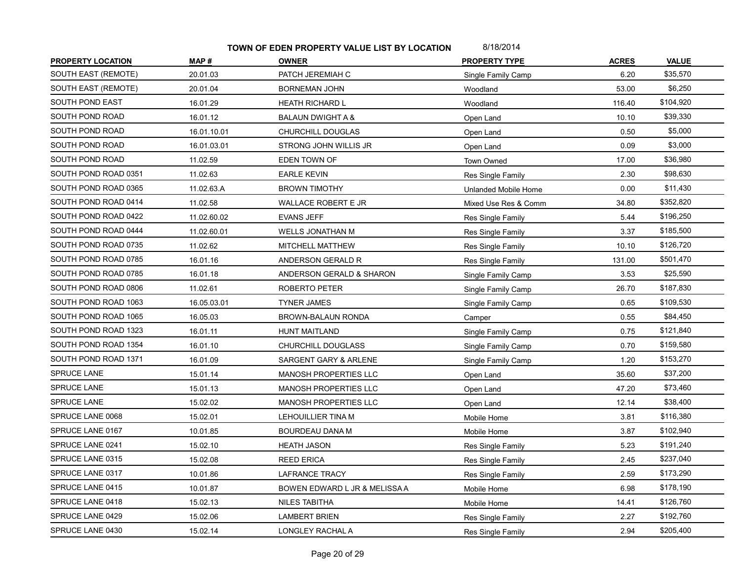| <b>PROPERTY LOCATION</b> | MAP#        | <b>OWNER</b>                  | <b>PROPERTY TYPE</b>      | <b>ACRES</b> | <b>VALUE</b> |
|--------------------------|-------------|-------------------------------|---------------------------|--------------|--------------|
| SOUTH EAST (REMOTE)      | 20.01.03    | PATCH JEREMIAH C              | Single Family Camp        | 6.20         | \$35,570     |
| SOUTH EAST (REMOTE)      | 20.01.04    | <b>BORNEMAN JOHN</b>          | Woodland                  | 53.00        | \$6,250      |
| SOUTH POND EAST          | 16.01.29    | <b>HEATH RICHARD L</b>        | Woodland                  | 116.40       | \$104,920    |
| SOUTH POND ROAD          | 16.01.12    | <b>BALAUN DWIGHT A &amp;</b>  | Open Land                 | 10.10        | \$39,330     |
| SOUTH POND ROAD          | 16.01.10.01 | CHURCHILL DOUGLAS             | Open Land                 | 0.50         | \$5,000      |
| SOUTH POND ROAD          | 16.01.03.01 | STRONG JOHN WILLIS JR         | Open Land                 | 0.09         | \$3,000      |
| SOUTH POND ROAD          | 11.02.59    | EDEN TOWN OF                  | <b>Town Owned</b>         | 17.00        | \$36,980     |
| SOUTH POND ROAD 0351     | 11.02.63    | <b>EARLE KEVIN</b>            | Res Single Family         | 2.30         | \$98,630     |
| SOUTH POND ROAD 0365     | 11.02.63.A  | <b>BROWN TIMOTHY</b>          | Unlanded Mobile Home      | 0.00         | \$11,430     |
| SOUTH POND ROAD 0414     | 11.02.58    | WALLACE ROBERT E JR           | Mixed Use Res & Comm      | 34.80        | \$352,820    |
| SOUTH POND ROAD 0422     | 11.02.60.02 | <b>EVANS JEFF</b>             | Res Single Family         | 5.44         | \$196,250    |
| SOUTH POND ROAD 0444     | 11.02.60.01 | WELLS JONATHAN M              | Res Single Family         | 3.37         | \$185,500    |
| SOUTH POND ROAD 0735     | 11.02.62    | MITCHELL MATTHEW              | Res Single Family         | 10.10        | \$126,720    |
| SOUTH POND ROAD 0785     | 16.01.16    | ANDERSON GERALD R             | Res Single Family         | 131.00       | \$501,470    |
| SOUTH POND ROAD 0785     | 16.01.18    | ANDERSON GERALD & SHARON      | Single Family Camp        | 3.53         | \$25,590     |
| SOUTH POND ROAD 0806     | 11.02.61    | ROBERTO PETER                 | Single Family Camp        | 26.70        | \$187,830    |
| SOUTH POND ROAD 1063     | 16.05.03.01 | <b>TYNER JAMES</b>            | Single Family Camp        | 0.65         | \$109,530    |
| SOUTH POND ROAD 1065     | 16.05.03    | BROWN-BALAUN RONDA            | Camper                    | 0.55         | \$84,450     |
| SOUTH POND ROAD 1323     | 16.01.11    | <b>HUNT MAITLAND</b>          | <b>Single Family Camp</b> | 0.75         | \$121,840    |
| SOUTH POND ROAD 1354     | 16.01.10    | CHURCHILL DOUGLASS            | Single Family Camp        | 0.70         | \$159,580    |
| SOUTH POND ROAD 1371     | 16.01.09    | SARGENT GARY & ARLENE         | Single Family Camp        | 1.20         | \$153,270    |
| SPRUCE LANE              | 15.01.14    | MANOSH PROPERTIES LLC         | Open Land                 | 35.60        | \$37,200     |
| SPRUCE LANE              | 15.01.13    | <b>MANOSH PROPERTIES LLC</b>  | Open Land                 | 47.20        | \$73,460     |
| SPRUCE LANE              | 15.02.02    | MANOSH PROPERTIES LLC         | Open Land                 | 12.14        | \$38,400     |
| SPRUCE LANE 0068         | 15.02.01    | LEHOUILLIER TINA M            | Mobile Home               | 3.81         | \$116,380    |
| SPRUCE LANE 0167         | 10.01.85    | <b>BOURDEAU DANA M</b>        | Mobile Home               | 3.87         | \$102,940    |
| SPRUCE LANE 0241         | 15.02.10    | <b>HEATH JASON</b>            | Res Single Family         | 5.23         | \$191,240    |
| SPRUCE LANE 0315         | 15.02.08    | <b>REED ERICA</b>             | Res Single Family         | 2.45         | \$237,040    |
| SPRUCE LANE 0317         | 10.01.86    | <b>LAFRANCE TRACY</b>         | Res Single Family         | 2.59         | \$173,290    |
| SPRUCE LANE 0415         | 10.01.87    | BOWEN EDWARD L JR & MELISSA A | Mobile Home               | 6.98         | \$178,190    |
| SPRUCE LANE 0418         | 15.02.13    | NILES TABITHA                 | Mobile Home               | 14.41        | \$126,760    |
| SPRUCE LANE 0429         | 15.02.06    | <b>LAMBERT BRIEN</b>          | Res Single Family         | 2.27         | \$192,760    |
| SPRUCE LANE 0430         | 15.02.14    | LONGLEY RACHAL A              | Res Single Family         | 2.94         | \$205,400    |
|                          |             |                               |                           |              |              |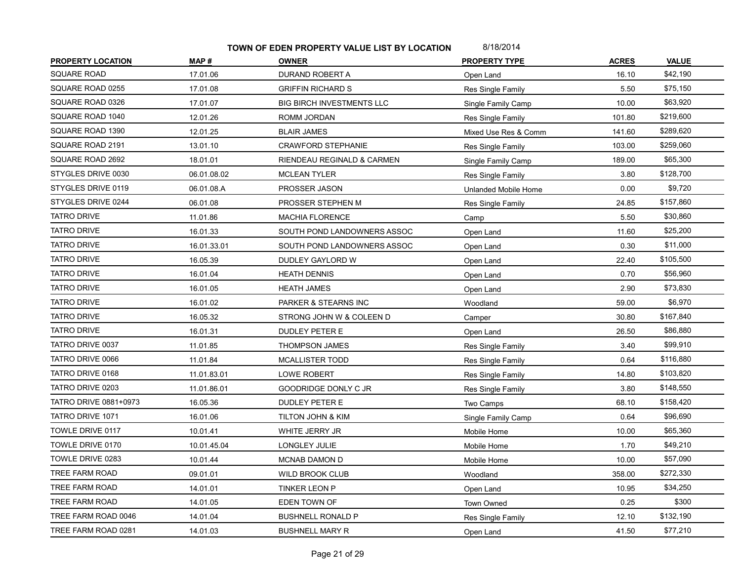| <b>PROPERTY LOCATION</b> | MAP#        | <b>OWNER</b>                     | <b>PROPERTY TYPE</b> | <b>ACRES</b> | <b>VALUE</b> |
|--------------------------|-------------|----------------------------------|----------------------|--------------|--------------|
| <b>SQUARE ROAD</b>       | 17.01.06    | DURAND ROBERT A                  | Open Land            | 16.10        | \$42,190     |
| SQUARE ROAD 0255         | 17.01.08    | <b>GRIFFIN RICHARD S</b>         | Res Single Family    | 5.50         | \$75,150     |
| SQUARE ROAD 0326         | 17.01.07    | <b>BIG BIRCH INVESTMENTS LLC</b> | Single Family Camp   | 10.00        | \$63,920     |
| SQUARE ROAD 1040         | 12.01.26    | ROMM JORDAN                      | Res Single Family    | 101.80       | \$219,600    |
| SQUARE ROAD 1390         | 12.01.25    | <b>BLAIR JAMES</b>               | Mixed Use Res & Comm | 141.60       | \$289,620    |
| SQUARE ROAD 2191         | 13.01.10    | <b>CRAWFORD STEPHANIE</b>        | Res Single Family    | 103.00       | \$259,060    |
| SQUARE ROAD 2692         | 18.01.01    | RIENDEAU REGINALD & CARMEN       | Single Family Camp   | 189.00       | \$65,300     |
| STYGLES DRIVE 0030       | 06.01.08.02 | <b>MCLEAN TYLER</b>              | Res Single Family    | 3.80         | \$128,700    |
| STYGLES DRIVE 0119       | 06.01.08.A  | PROSSER JASON                    | Unlanded Mobile Home | 0.00         | \$9,720      |
| STYGLES DRIVE 0244       | 06.01.08    | PROSSER STEPHEN M                | Res Single Family    | 24.85        | \$157,860    |
| <b>TATRO DRIVE</b>       | 11.01.86    | <b>MACHIA FLORENCE</b>           | Camp                 | 5.50         | \$30,860     |
| <b>TATRO DRIVE</b>       | 16.01.33    | SOUTH POND LANDOWNERS ASSOC      | Open Land            | 11.60        | \$25,200     |
| <b>TATRO DRIVE</b>       | 16.01.33.01 | SOUTH POND LANDOWNERS ASSOC      | Open Land            | 0.30         | \$11,000     |
| <b>TATRO DRIVE</b>       | 16.05.39    | DUDLEY GAYLORD W                 | Open Land            | 22.40        | \$105,500    |
| <b>TATRO DRIVE</b>       | 16.01.04    | <b>HEATH DENNIS</b>              | Open Land            | 0.70         | \$56,960     |
| <b>TATRO DRIVE</b>       | 16.01.05    | <b>HEATH JAMES</b>               | Open Land            | 2.90         | \$73,830     |
| <b>TATRO DRIVE</b>       | 16.01.02    | PARKER & STEARNS INC             | Woodland             | 59.00        | \$6,970      |
| <b>TATRO DRIVE</b>       | 16.05.32    | STRONG JOHN W & COLEEN D         | Camper               | 30.80        | \$167,840    |
| <b>TATRO DRIVE</b>       | 16.01.31    | <b>DUDLEY PETER E</b>            | Open Land            | 26.50        | \$86,880     |
| TATRO DRIVE 0037         | 11.01.85    | <b>THOMPSON JAMES</b>            | Res Single Family    | 3.40         | \$99,910     |
| TATRO DRIVE 0066         | 11.01.84    | <b>MCALLISTER TODD</b>           | Res Single Family    | 0.64         | \$116,880    |
| TATRO DRIVE 0168         | 11.01.83.01 | <b>LOWE ROBERT</b>               | Res Single Family    | 14.80        | \$103,820    |
| TATRO DRIVE 0203         | 11.01.86.01 | <b>GOODRIDGE DONLY C JR</b>      | Res Single Family    | 3.80         | \$148,550    |
| TATRO DRIVE 0881+0973    | 16.05.36    | <b>DUDLEY PETER E</b>            | Two Camps            | 68.10        | \$158,420    |
| TATRO DRIVE 1071         | 16.01.06    | TILTON JOHN & KIM                | Single Family Camp   | 0.64         | \$96,690     |
| TOWLE DRIVE 0117         | 10.01.41    | WHITE JERRY JR                   | Mobile Home          | 10.00        | \$65,360     |
| TOWLE DRIVE 0170         | 10.01.45.04 | LONGLEY JULIE                    | Mobile Home          | 1.70         | \$49,210     |
| TOWLE DRIVE 0283         | 10.01.44    | <b>MCNAB DAMON D</b>             | Mobile Home          | 10.00        | \$57,090     |
| <b>TREE FARM ROAD</b>    | 09.01.01    | WILD BROOK CLUB                  | Woodland             | 358.00       | \$272,330    |
| TREE FARM ROAD           | 14.01.01    | <b>TINKER LEON P</b>             | Open Land            | 10.95        | \$34,250     |
| TREE FARM ROAD           | 14.01.05    | EDEN TOWN OF                     | Town Owned           | 0.25         | \$300        |
| TREE FARM ROAD 0046      | 14.01.04    | <b>BUSHNELL RONALD P</b>         | Res Single Family    | 12.10        | \$132,190    |
| TREE FARM ROAD 0281      | 14.01.03    | <b>BUSHNELL MARY R</b>           | Open Land            | 41.50        | \$77,210     |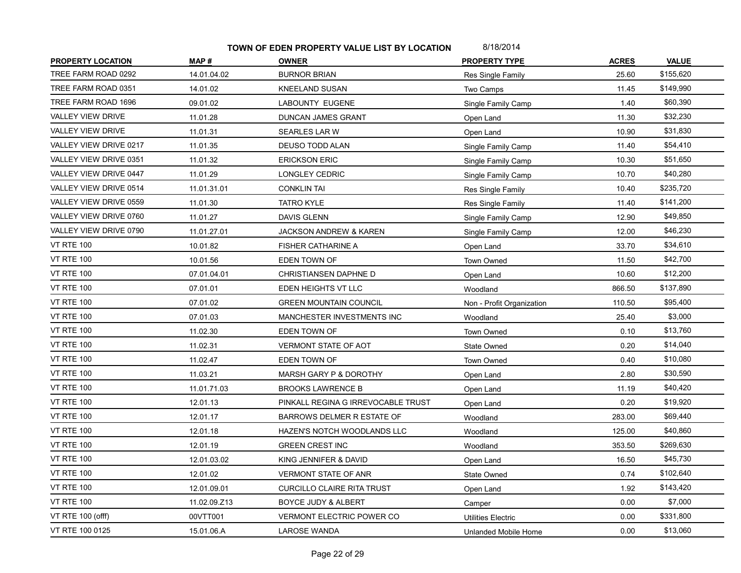| <b>PROPERTY LOCATION</b> | MAP#         | <b>OWNER</b>                       | <b>PROPERTY TYPE</b>      | <b>ACRES</b> | <b>VALUE</b> |
|--------------------------|--------------|------------------------------------|---------------------------|--------------|--------------|
| TREE FARM ROAD 0292      | 14.01.04.02  | <b>BURNOR BRIAN</b>                | Res Single Family         | 25.60        | \$155,620    |
| TREE FARM ROAD 0351      | 14.01.02     | <b>KNEELAND SUSAN</b>              | Two Camps                 | 11.45        | \$149,990    |
| TREE FARM ROAD 1696      | 09.01.02     | LABOUNTY EUGENE                    | Single Family Camp        | 1.40         | \$60,390     |
| <b>VALLEY VIEW DRIVE</b> | 11.01.28     | <b>DUNCAN JAMES GRANT</b>          | Open Land                 | 11.30        | \$32,230     |
| <b>VALLEY VIEW DRIVE</b> | 11.01.31     | <b>SEARLES LAR W</b>               | Open Land                 | 10.90        | \$31,830     |
| VALLEY VIEW DRIVE 0217   | 11.01.35     | <b>DEUSO TODD ALAN</b>             | Single Family Camp        | 11.40        | \$54,410     |
| VALLEY VIEW DRIVE 0351   | 11.01.32     | <b>ERICKSON ERIC</b>               | Single Family Camp        | 10.30        | \$51,650     |
| VALLEY VIEW DRIVE 0447   | 11.01.29     | LONGLEY CEDRIC                     | Single Family Camp        | 10.70        | \$40,280     |
| VALLEY VIEW DRIVE 0514   | 11.01.31.01  | <b>CONKLIN TAI</b>                 | Res Single Family         | 10.40        | \$235,720    |
| VALLEY VIEW DRIVE 0559   | 11.01.30     | <b>TATRO KYLE</b>                  | Res Single Family         | 11.40        | \$141,200    |
| VALLEY VIEW DRIVE 0760   | 11.01.27     | <b>DAVIS GLENN</b>                 | Single Family Camp        | 12.90        | \$49,850     |
| VALLEY VIEW DRIVE 0790   | 11.01.27.01  | JACKSON ANDREW & KAREN             | Single Family Camp        | 12.00        | \$46,230     |
| <b>VT RTE 100</b>        | 10.01.82     | <b>FISHER CATHARINE A</b>          | Open Land                 | 33.70        | \$34,610     |
| <b>VT RTE 100</b>        | 10.01.56     | EDEN TOWN OF                       | <b>Town Owned</b>         | 11.50        | \$42,700     |
| <b>VT RTE 100</b>        | 07.01.04.01  | CHRISTIANSEN DAPHNE D              | Open Land                 | 10.60        | \$12,200     |
| <b>VT RTE 100</b>        | 07.01.01     | EDEN HEIGHTS VT LLC                | Woodland                  | 866.50       | \$137,890    |
| <b>VT RTE 100</b>        | 07.01.02     | <b>GREEN MOUNTAIN COUNCIL</b>      | Non - Profit Organization | 110.50       | \$95,400     |
| <b>VT RTE 100</b>        | 07.01.03     | MANCHESTER INVESTMENTS INC         | Woodland                  | 25.40        | \$3,000      |
| <b>VT RTE 100</b>        | 11.02.30     | EDEN TOWN OF                       | <b>Town Owned</b>         | 0.10         | \$13,760     |
| <b>VT RTE 100</b>        | 11.02.31     | VERMONT STATE OF AOT               | State Owned               | 0.20         | \$14,040     |
| <b>VT RTE 100</b>        | 11.02.47     | EDEN TOWN OF                       | Town Owned                | 0.40         | \$10,080     |
| <b>VT RTE 100</b>        | 11.03.21     | MARSH GARY P & DOROTHY             | Open Land                 | 2.80         | \$30,590     |
| <b>VT RTE 100</b>        | 11.01.71.03  | <b>BROOKS LAWRENCE B</b>           | Open Land                 | 11.19        | \$40,420     |
| <b>VT RTE 100</b>        | 12.01.13     | PINKALL REGINA G IRREVOCABLE TRUST | Open Land                 | 0.20         | \$19,920     |
| <b>VT RTE 100</b>        | 12.01.17     | BARROWS DELMER R ESTATE OF         | Woodland                  | 283.00       | \$69,440     |
| <b>VT RTE 100</b>        | 12.01.18     | HAZEN'S NOTCH WOODLANDS LLC        | Woodland                  | 125.00       | \$40,860     |
| <b>VT RTE 100</b>        | 12.01.19     | <b>GREEN CREST INC</b>             | Woodland                  | 353.50       | \$269,630    |
| <b>VT RTE 100</b>        | 12.01.03.02  | KING JENNIFER & DAVID              | Open Land                 | 16.50        | \$45,730     |
| <b>VT RTE 100</b>        | 12.01.02     | <b>VERMONT STATE OF ANR</b>        | State Owned               | 0.74         | \$102,640    |
| <b>VT RTE 100</b>        | 12.01.09.01  | <b>CURCILLO CLAIRE RITA TRUST</b>  | Open Land                 | 1.92         | \$143,420    |
| <b>VT RTE 100</b>        | 11.02.09.Z13 | BOYCE JUDY & ALBERT                | Camper                    | 0.00         | \$7,000      |
| VT RTE 100 (offf)        | 00VTT001     | <b>VERMONT ELECTRIC POWER CO</b>   | <b>Utilities Electric</b> | 0.00         | \$331,800    |
| VT RTE 100 0125          | 15.01.06.A   | <b>LAROSE WANDA</b>                | Unlanded Mobile Home      | 0.00         | \$13,060     |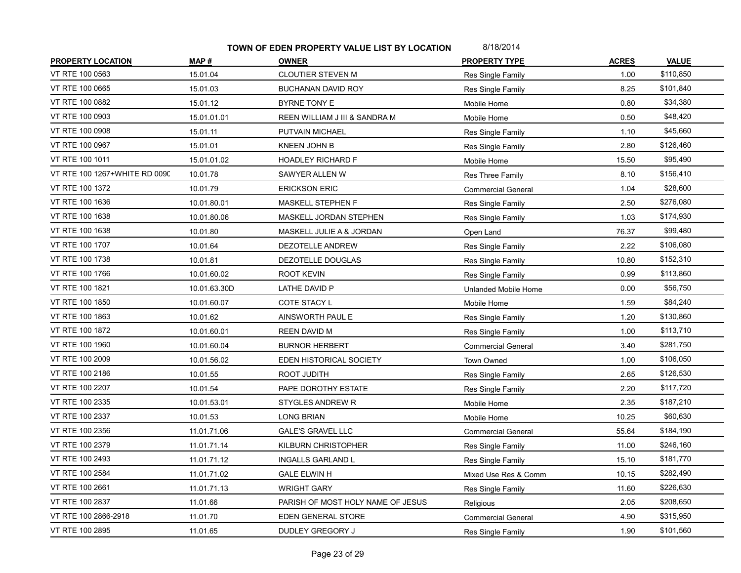| <b>PROPERTY LOCATION</b>      | MAP#         | <b>OWNER</b>                      | <b>PROPERTY TYPE</b>      | <b>ACRES</b> | <b>VALUE</b> |
|-------------------------------|--------------|-----------------------------------|---------------------------|--------------|--------------|
| VT RTE 100 0563               | 15.01.04     | CLOUTIER STEVEN M                 | Res Single Family         | 1.00         | \$110,850    |
| VT RTE 100 0665               | 15.01.03     | BUCHANAN DAVID ROY                | Res Single Family         | 8.25         | \$101,840    |
| VT RTE 100 0882               | 15.01.12     | BYRNE TONY E                      | Mobile Home               | 0.80         | \$34,380     |
| VT RTE 100 0903               | 15.01.01.01  | REEN WILLIAM J III & SANDRA M     | Mobile Home               | 0.50         | \$48,420     |
| VT RTE 100 0908               | 15.01.11     | PUTVAIN MICHAEL                   | Res Single Family         | 1.10         | \$45,660     |
| VT RTE 100 0967               | 15.01.01     | KNEEN JOHN B                      | Res Single Family         | 2.80         | \$126,460    |
| VT RTE 100 1011               | 15.01.01.02  | <b>HOADLEY RICHARD F</b>          | Mobile Home               | 15.50        | \$95,490     |
| VT RTE 100 1267+WHITE RD 0090 | 10.01.78     | SAWYER ALLEN W                    | Res Three Family          | 8.10         | \$156,410    |
| VT RTE 100 1372               | 10.01.79     | <b>ERICKSON ERIC</b>              | <b>Commercial General</b> | 1.04         | \$28,600     |
| VT RTE 100 1636               | 10.01.80.01  | MASKELL STEPHEN F                 | Res Single Family         | 2.50         | \$276,080    |
| VT RTE 100 1638               | 10.01.80.06  | MASKELL JORDAN STEPHEN            | Res Single Family         | 1.03         | \$174,930    |
| VT RTE 100 1638               | 10.01.80     | MASKELL JULIE A & JORDAN          | Open Land                 | 76.37        | \$99,480     |
| VT RTE 100 1707               | 10.01.64     | DEZOTELLE ANDREW                  | Res Single Family         | 2.22         | \$106,080    |
| VT RTE 100 1738               | 10.01.81     | DEZOTELLE DOUGLAS                 | Res Single Family         | 10.80        | \$152,310    |
| VT RTE 100 1766               | 10.01.60.02  | <b>ROOT KEVIN</b>                 | Res Single Family         | 0.99         | \$113,860    |
| VT RTE 100 1821               | 10.01.63.30D | LATHE DAVID P                     | Unlanded Mobile Home      | 0.00         | \$56,750     |
| VT RTE 100 1850               | 10.01.60.07  | COTE STACY L                      | Mobile Home               | 1.59         | \$84,240     |
| VT RTE 100 1863               | 10.01.62     | AINSWORTH PAUL E                  | Res Single Family         | 1.20         | \$130,860    |
| VT RTE 100 1872               | 10.01.60.01  | <b>REEN DAVID M</b>               | Res Single Family         | 1.00         | \$113,710    |
| VT RTE 100 1960               | 10.01.60.04  | <b>BURNOR HERBERT</b>             | <b>Commercial General</b> | 3.40         | \$281,750    |
| VT RTE 100 2009               | 10.01.56.02  | EDEN HISTORICAL SOCIETY           | Town Owned                | 1.00         | \$106,050    |
| VT RTE 100 2186               | 10.01.55     | ROOT JUDITH                       | Res Single Family         | 2.65         | \$126,530    |
| VT RTE 100 2207               | 10.01.54     | PAPE DOROTHY ESTATE               | Res Single Family         | 2.20         | \$117,720    |
| VT RTE 100 2335               | 10.01.53.01  | <b>STYGLES ANDREW R</b>           | Mobile Home               | 2.35         | \$187,210    |
| VT RTE 100 2337               | 10.01.53     | <b>LONG BRIAN</b>                 | Mobile Home               | 10.25        | \$60,630     |
| VT RTE 100 2356               | 11.01.71.06  | <b>GALE'S GRAVEL LLC</b>          | <b>Commercial General</b> | 55.64        | \$184,190    |
| VT RTE 100 2379               | 11.01.71.14  | KILBURN CHRISTOPHER               | Res Single Family         | 11.00        | \$246,160    |
| VT RTE 100 2493               | 11.01.71.12  | <b>INGALLS GARLAND L</b>          | Res Single Family         | 15.10        | \$181,770    |
| VT RTE 100 2584               | 11.01.71.02  | <b>GALE ELWIN H</b>               | Mixed Use Res & Comm      | 10.15        | \$282,490    |
| VT RTE 100 2661               | 11.01.71.13  | <b>WRIGHT GARY</b>                | Res Single Family         | 11.60        | \$226,630    |
| VT RTE 100 2837               | 11.01.66     | PARISH OF MOST HOLY NAME OF JESUS | Religious                 | 2.05         | \$208,650    |
| VT RTE 100 2866-2918          | 11.01.70     | EDEN GENERAL STORE                | <b>Commercial General</b> | 4.90         | \$315,950    |
| VT RTE 100 2895               | 11.01.65     | DUDLEY GREGORY J                  | Res Single Family         | 1.90         | \$101,560    |
|                               |              |                                   |                           |              |              |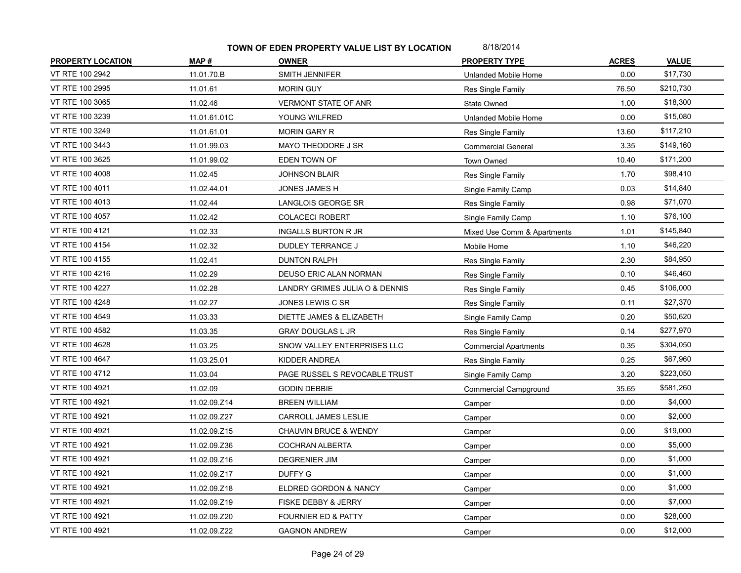| <b>PROPERTY LOCATION</b> | MAP#         | <b>OWNER</b>                     | <b>PROPERTY TYPE</b>         | <b>ACRES</b> | <b>VALUE</b> |
|--------------------------|--------------|----------------------------------|------------------------------|--------------|--------------|
| VT RTE 100 2942          | 11.01.70 B   | SMITH JENNIFER                   | Unlanded Mobile Home         | 0.00         | \$17,730     |
| VT RTE 100 2995          | 11.01.61     | <b>MORIN GUY</b>                 | Res Single Family            | 76.50        | \$210,730    |
| VT RTE 100 3065          | 11.02.46     | <b>VERMONT STATE OF ANR</b>      | State Owned                  | 1.00         | \$18,300     |
| VT RTE 100 3239          | 11.01.61.01C | YOUNG WILFRED                    | Unlanded Mobile Home         | 0.00         | \$15,080     |
| VT RTE 100 3249          | 11.01.61.01  | <b>MORIN GARY R</b>              | Res Single Family            | 13.60        | \$117,210    |
| VT RTE 100 3443          | 11.01.99.03  | MAYO THEODORE J SR               | <b>Commercial General</b>    | 3.35         | \$149,160    |
| VT RTE 100 3625          | 11.01.99.02  | EDEN TOWN OF                     | Town Owned                   | 10.40        | \$171,200    |
| VT RTE 100 4008          | 11.02.45     | <b>JOHNSON BLAIR</b>             | Res Single Family            | 1.70         | \$98,410     |
| VT RTE 100 4011          | 11.02.44.01  | JONES JAMES H                    | Single Family Camp           | 0.03         | \$14,840     |
| VT RTE 100 4013          | 11.02.44     | LANGLOIS GEORGE SR               | Res Single Family            | 0.98         | \$71,070     |
| VT RTE 100 4057          | 11.02.42     | <b>COLACECI ROBERT</b>           | Single Family Camp           | 1.10         | \$76,100     |
| VT RTE 100 4121          | 11.02.33     | <b>INGALLS BURTON R JR</b>       | Mixed Use Comm & Apartments  | 1.01         | \$145,840    |
| VT RTE 100 4154          | 11.02.32     | <b>DUDLEY TERRANCE J</b>         | Mobile Home                  | 1.10         | \$46,220     |
| VT RTE 100 4155          | 11.02.41     | <b>DUNTON RALPH</b>              | Res Single Family            | 2.30         | \$84,950     |
| VT RTE 100 4216          | 11.02.29     | DEUSO ERIC ALAN NORMAN           | Res Single Family            | 0.10         | \$46,460     |
| VT RTE 100 4227          | 11.02.28     | LANDRY GRIMES JULIA O & DENNIS   | Res Single Family            | 0.45         | \$106,000    |
| VT RTE 100 4248          | 11.02.27     | JONES LEWIS C SR                 | Res Single Family            | 0.11         | \$27,370     |
| VT RTE 100 4549          | 11.03.33     | DIETTE JAMES & ELIZABETH         | Single Family Camp           | 0.20         | \$50,620     |
| VT RTE 100 4582          | 11.03.35     | <b>GRAY DOUGLAS L JR</b>         | Res Single Family            | 0.14         | \$277,970    |
| VT RTE 100 4628          | 11.03.25     | SNOW VALLEY ENTERPRISES LLC      | <b>Commercial Apartments</b> | 0.35         | \$304,050    |
| VT RTE 100 4647          | 11.03.25.01  | KIDDER ANDREA                    | Res Single Family            | 0.25         | \$67,960     |
| VT RTE 100 4712          | 11.03.04     | PAGE RUSSEL S REVOCABLE TRUST    | Single Family Camp           | 3.20         | \$223,050    |
| VT RTE 100 4921          | 11.02.09     | <b>GODIN DEBBIE</b>              | Commercial Campground        | 35.65        | \$581,260    |
| VT RTE 100 4921          | 11.02.09.Z14 | <b>BREEN WILLIAM</b>             | Camper                       | 0.00         | \$4,000      |
| VT RTE 100 4921          | 11.02.09.Z27 | CARROLL JAMES LESLIE             | Camper                       | 0.00         | \$2,000      |
| VT RTE 100 4921          | 11.02.09.Z15 | <b>CHAUVIN BRUCE &amp; WENDY</b> | Camper                       | 0.00         | \$19,000     |
| VT RTE 100 4921          | 11.02.09.Z36 | COCHRAN ALBERTA                  | Camper                       | 0.00         | \$5,000      |
| VT RTE 100 4921          | 11.02.09.Z16 | <b>DEGRENIER JIM</b>             | Camper                       | 0.00         | \$1,000      |
| VT RTE 100 4921          | 11.02.09.Z17 | <b>DUFFY G</b>                   | Camper                       | 0.00         | \$1,000      |
| VT RTE 100 4921          | 11.02.09.Z18 | ELDRED GORDON & NANCY            | Camper                       | 0.00         | \$1,000      |
| VT RTE 100 4921          | 11.02.09.Z19 | FISKE DEBBY & JERRY              | Camper                       | 0.00         | \$7,000      |
| VT RTE 100 4921          | 11.02.09.Z20 | <b>FOURNIER ED &amp; PATTY</b>   | Camper                       | 0.00         | \$28,000     |
| VT RTE 100 4921          | 11.02.09.Z22 | <b>GAGNON ANDREW</b>             | Camper                       | 0.00         | \$12,000     |
|                          |              |                                  |                              |              |              |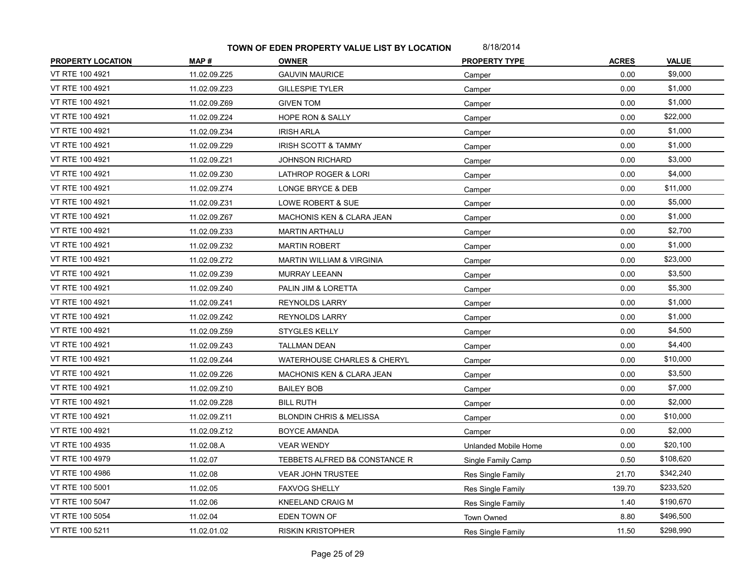| MAP#         | <b>OWNER</b>                           | <b>PROPERTY TYPE</b> | <b>ACRES</b> | <b>VALUE</b> |
|--------------|----------------------------------------|----------------------|--------------|--------------|
| 11.02.09.Z25 | <b>GAUVIN MAURICE</b>                  | Camper               | 0.00         | \$9,000      |
| 11.02.09.Z23 | <b>GILLESPIE TYLER</b>                 | Camper               | 0.00         | \$1,000      |
| 11.02.09.Z69 | <b>GIVEN TOM</b>                       | Camper               | 0.00         | \$1,000      |
| 11.02.09.Z24 | <b>HOPE RON &amp; SALLY</b>            | Camper               | 0.00         | \$22,000     |
| 11.02.09.Z34 | <b>IRISH ARLA</b>                      | Camper               | 0.00         | \$1,000      |
| 11.02.09.Z29 | <b>IRISH SCOTT &amp; TAMMY</b>         | Camper               | 0.00         | \$1,000      |
| 11.02.09.Z21 | JOHNSON RICHARD                        | Camper               | 0.00         | \$3,000      |
| 11.02.09.Z30 | LATHROP ROGER & LORI                   | Camper               | 0.00         | \$4,000      |
| 11.02.09.Z74 | LONGE BRYCE & DEB                      | Camper               | 0.00         | \$11,000     |
| 11.02.09.Z31 | LOWE ROBERT & SUE                      | Camper               | 0.00         | \$5,000      |
| 11.02.09.Z67 | MACHONIS KEN & CLARA JEAN              | Camper               | 0.00         | \$1,000      |
| 11.02.09.Z33 | <b>MARTIN ARTHALU</b>                  | Camper               | 0.00         | \$2,700      |
| 11.02.09.Z32 | <b>MARTIN ROBERT</b>                   | Camper               | 0.00         | \$1,000      |
| 11.02.09.Z72 | <b>MARTIN WILLIAM &amp; VIRGINIA</b>   | Camper               | 0.00         | \$23,000     |
| 11.02.09.Z39 | <b>MURRAY LEEANN</b>                   | Camper               | 0.00         | \$3,500      |
| 11.02.09.Z40 | PALIN JIM & LORETTA                    | Camper               | 0.00         | \$5,300      |
| 11.02.09.Z41 | <b>REYNOLDS LARRY</b>                  | Camper               | 0.00         | \$1,000      |
| 11.02.09.Z42 | <b>REYNOLDS LARRY</b>                  | Camper               | 0.00         | \$1,000      |
| 11.02.09.Z59 | STYGLES KELLY                          | Camper               | 0.00         | \$4,500      |
| 11.02.09.Z43 | TALLMAN DEAN                           | Camper               | 0.00         | \$4,400      |
| 11.02.09.Z44 | <b>WATERHOUSE CHARLES &amp; CHERYL</b> | Camper               | 0.00         | \$10,000     |
| 11.02.09.Z26 | MACHONIS KEN & CLARA JEAN              | Camper               | 0.00         | \$3,500      |
| 11.02.09.Z10 | <b>BAILEY BOB</b>                      | Camper               | 0.00         | \$7,000      |
| 11.02.09.Z28 | <b>BILL RUTH</b>                       | Camper               | 0.00         | \$2,000      |
| 11.02.09.Z11 | <b>BLONDIN CHRIS &amp; MELISSA</b>     | Camper               | 0.00         | \$10,000     |
| 11.02.09.Z12 | <b>BOYCE AMANDA</b>                    | Camper               | 0.00         | \$2,000      |
| 11.02.08.A   | <b>VEAR WENDY</b>                      | Unlanded Mobile Home | 0.00         | \$20,100     |
| 11.02.07     | TEBBETS ALFRED B& CONSTANCE R          | Single Family Camp   | 0.50         | \$108,620    |
| 11.02.08     | <b>VEAR JOHN TRUSTEE</b>               | Res Single Family    | 21.70        | \$342,240    |
| 11.02.05     | <b>FAXVOG SHELLY</b>                   | Res Single Family    | 139.70       | \$233,520    |
| 11.02.06     | KNEELAND CRAIG M                       | Res Single Family    | 1.40         | \$190,670    |
| 11.02.04     | EDEN TOWN OF                           | Town Owned           | 8.80         | \$496,500    |
| 11.02.01.02  | <b>RISKIN KRISTOPHER</b>               | Res Single Family    | 11.50        | \$298,990    |
|              |                                        |                      |              |              |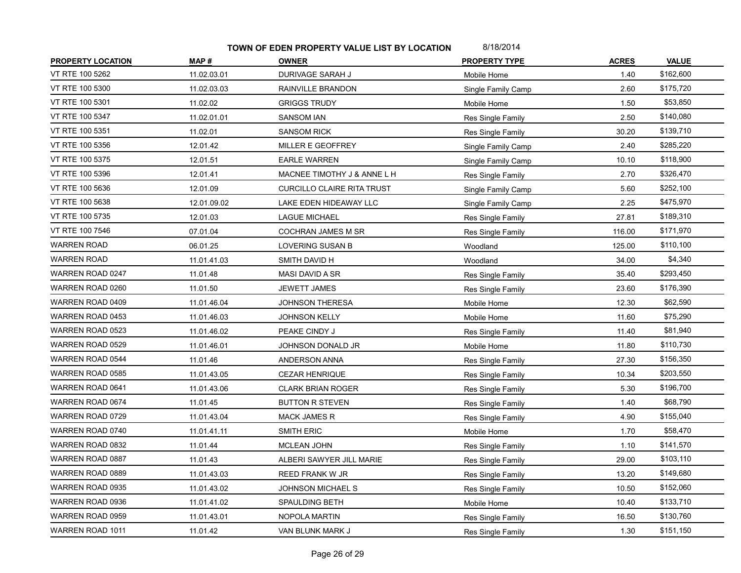| <b>PROPERTY LOCATION</b> | MAP#        | <b>OWNER</b>                      | <b>PROPERTY TYPE</b> | <b>ACRES</b> | <b>VALUE</b> |
|--------------------------|-------------|-----------------------------------|----------------------|--------------|--------------|
| VT RTE 100 5262          | 11.02.03.01 | DURIVAGE SARAH J                  | Mobile Home          | 1.40         | \$162,600    |
| VT RTE 100 5300          | 11.02.03.03 | RAINVILLE BRANDON                 | Single Family Camp   | 2.60         | \$175,720    |
| VT RTE 100 5301          | 11.02.02    | <b>GRIGGS TRUDY</b>               | Mobile Home          | 1.50         | \$53,850     |
| VT RTE 100 5347          | 11.02.01.01 | <b>SANSOM IAN</b>                 | Res Single Family    | 2.50         | \$140,080    |
| VT RTE 100 5351          | 11.02.01    | <b>SANSOM RICK</b>                | Res Single Family    | 30.20        | \$139,710    |
| VT RTE 100 5356          | 12.01.42    | MILLER E GEOFFREY                 | Single Family Camp   | 2.40         | \$285,220    |
| VT RTE 100 5375          | 12.01.51    | <b>EARLE WARREN</b>               | Single Family Camp   | 10.10        | \$118,900    |
| VT RTE 100 5396          | 12.01.41    | MACNEE TIMOTHY J & ANNE L H       | Res Single Family    | 2.70         | \$326,470    |
| VT RTE 100 5636          | 12.01.09    | <b>CURCILLO CLAIRE RITA TRUST</b> | Single Family Camp   | 5.60         | \$252,100    |
| VT RTE 100 5638          | 12.01.09.02 | LAKE EDEN HIDEAWAY LLC            | Single Family Camp   | 2.25         | \$475,970    |
| VT RTE 100 5735          | 12.01.03    | <b>LAGUE MICHAEL</b>              | Res Single Family    | 27.81        | \$189,310    |
| VT RTE 100 7546          | 07.01.04    | COCHRAN JAMES M SR                | Res Single Family    | 116.00       | \$171,970    |
| <b>WARREN ROAD</b>       | 06.01.25    | LOVERING SUSAN B                  | Woodland             | 125.00       | \$110,100    |
| WARREN ROAD              | 11.01.41.03 | SMITH DAVID H                     | Woodland             | 34.00        | \$4,340      |
| WARREN ROAD 0247         | 11.01.48    | MASI DAVID A SR                   | Res Single Family    | 35.40        | \$293,450    |
| WARREN ROAD 0260         | 11.01.50    | <b>JEWETT JAMES</b>               | Res Single Family    | 23.60        | \$176,390    |
| WARREN ROAD 0409         | 11.01.46.04 | <b>JOHNSON THERESA</b>            | Mobile Home          | 12.30        | \$62,590     |
| WARREN ROAD 0453         | 11.01.46.03 | <b>JOHNSON KELLY</b>              | Mobile Home          | 11.60        | \$75,290     |
| WARREN ROAD 0523         | 11.01.46.02 | PEAKE CINDY J                     | Res Single Family    | 11.40        | \$81,940     |
| WARREN ROAD 0529         | 11.01.46.01 | JOHNSON DONALD JR                 | Mobile Home          | 11.80        | \$110,730    |
| WARREN ROAD 0544         | 11.01.46    | ANDERSON ANNA                     | Res Single Family    | 27.30        | \$156,350    |
| WARREN ROAD 0585         | 11.01.43.05 | <b>CEZAR HENRIQUE</b>             | Res Single Family    | 10.34        | \$203,550    |
| WARREN ROAD 0641         | 11.01.43.06 | <b>CLARK BRIAN ROGER</b>          | Res Single Family    | 5.30         | \$196,700    |
| <b>WARREN ROAD 0674</b>  | 11.01.45    | <b>BUTTON R STEVEN</b>            | Res Single Family    | 1.40         | \$68,790     |
| WARREN ROAD 0729         | 11.01.43.04 | <b>MACK JAMES R</b>               | Res Single Family    | 4.90         | \$155,040    |
| WARREN ROAD 0740         | 11.01.41.11 | SMITH ERIC                        | Mobile Home          | 1.70         | \$58,470     |
| WARREN ROAD 0832         | 11.01.44    | <b>MCLEAN JOHN</b>                | Res Single Family    | 1.10         | \$141,570    |
| WARREN ROAD 0887         | 11.01.43    | ALBERI SAWYER JILL MARIE          | Res Single Family    | 29.00        | \$103,110    |
| WARREN ROAD 0889         | 11.01.43.03 | <b>REED FRANK W JR</b>            | Res Single Family    | 13.20        | \$149,680    |
| WARREN ROAD 0935         | 11.01.43.02 | JOHNSON MICHAEL S                 | Res Single Family    | 10.50        | \$152,060    |
| WARREN ROAD 0936         | 11.01.41.02 | SPAULDING BETH                    | Mobile Home          | 10.40        | \$133,710    |
| WARREN ROAD 0959         | 11.01.43.01 | NOPOLA MARTIN                     | Res Single Family    | 16.50        | \$130,760    |
| WARREN ROAD 1011         | 11.01.42    | VAN BLUNK MARK J                  | Res Single Family    | 1.30         | \$151,150    |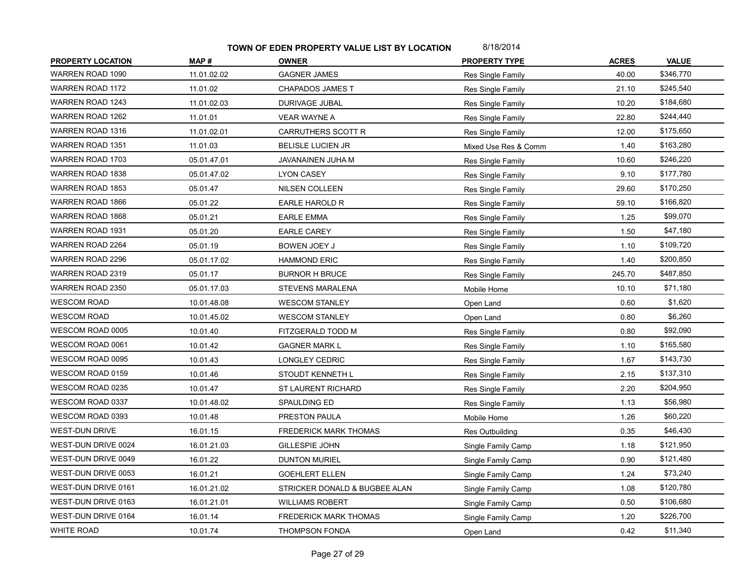| <b>PROPERTY LOCATION</b> | MAP#        | <b>OWNER</b>                  | <b>PROPERTY TYPE</b> | <b>ACRES</b> | <b>VALUE</b> |
|--------------------------|-------------|-------------------------------|----------------------|--------------|--------------|
| WARREN ROAD 1090         | 11.01.02.02 | <b>GAGNER JAMES</b>           | Res Single Family    | 40.00        | \$346,770    |
| <b>WARREN ROAD 1172</b>  | 11.01.02    | <b>CHAPADOS JAMES T</b>       | Res Single Family    | 21.10        | \$245,540    |
| WARREN ROAD 1243         | 11.01.02.03 | DURIVAGE JUBAL                | Res Single Family    | 10.20        | \$184,680    |
| WARREN ROAD 1262         | 11.01.01    | <b>VEAR WAYNE A</b>           | Res Single Family    | 22.80        | \$244,440    |
| WARREN ROAD 1316         | 11.01.02.01 | CARRUTHERS SCOTT R            | Res Single Family    | 12.00        | \$175,650    |
| WARREN ROAD 1351         | 11.01.03    | <b>BELISLE LUCIEN JR</b>      | Mixed Use Res & Comm | 1.40         | \$163,280    |
| WARREN ROAD 1703         | 05.01.47.01 | JAVANAINEN JUHA M             | Res Single Family    | 10.60        | \$246,220    |
| WARREN ROAD 1838         | 05.01.47.02 | <b>LYON CASEY</b>             | Res Single Family    | 9.10         | \$177,780    |
| WARREN ROAD 1853         | 05.01.47    | NILSEN COLLEEN                | Res Single Family    | 29.60        | \$170,250    |
| WARREN ROAD 1866         | 05.01.22    | EARLE HAROLD R                | Res Single Family    | 59.10        | \$166,820    |
| WARREN ROAD 1868         | 05.01.21    | <b>EARLE EMMA</b>             | Res Single Family    | 1.25         | \$99,070     |
| WARREN ROAD 1931         | 05.01.20    | <b>EARLE CAREY</b>            | Res Single Family    | 1.50         | \$47,180     |
| WARREN ROAD 2264         | 05.01.19    | BOWEN JOEY J                  | Res Single Family    | 1.10         | \$109,720    |
| WARREN ROAD 2296         | 05.01.17.02 | <b>HAMMOND ERIC</b>           | Res Single Family    | 1.40         | \$200,850    |
| WARREN ROAD 2319         | 05.01.17    | <b>BURNOR H BRUCE</b>         | Res Single Family    | 245.70       | \$487,850    |
| WARREN ROAD 2350         | 05.01.17.03 | <b>STEVENS MARALENA</b>       | Mobile Home          | 10.10        | \$71,180     |
| <b>WESCOM ROAD</b>       | 10.01.48.08 | <b>WESCOM STANLEY</b>         | Open Land            | 0.60         | \$1,620      |
| <b>WESCOM ROAD</b>       | 10.01.45.02 | <b>WESCOM STANLEY</b>         | Open Land            | 0.80         | \$6,260      |
| WESCOM ROAD 0005         | 10.01.40    | FITZGERALD TODD M             | Res Single Family    | 0.80         | \$92,090     |
| WESCOM ROAD 0061         | 10.01.42    | <b>GAGNER MARK L</b>          | Res Single Family    | 1.10         | \$165,580    |
| WESCOM ROAD 0095         | 10.01.43    | LONGLEY CEDRIC                | Res Single Family    | 1.67         | \$143,730    |
| WESCOM ROAD 0159         | 10.01.46    | STOUDT KENNETH L              | Res Single Family    | 2.15         | \$137,310    |
| WESCOM ROAD 0235         | 10.01.47    | ST LAURENT RICHARD            | Res Single Family    | 2.20         | \$204,950    |
| WESCOM ROAD 0337         | 10.01.48.02 | SPAULDING ED                  | Res Single Family    | 1.13         | \$56,980     |
| WESCOM ROAD 0393         | 10.01.48    | PRESTON PAULA                 | Mobile Home          | 1.26         | \$60,220     |
| <b>WEST-DUN DRIVE</b>    | 16.01.15    | <b>FREDERICK MARK THOMAS</b>  | Res Outbuilding      | 0.35         | \$46,430     |
| WEST-DUN DRIVE 0024      | 16.01.21.03 | <b>GILLESPIE JOHN</b>         | Single Family Camp   | 1.18         | \$121,950    |
| WEST-DUN DRIVE 0049      | 16.01.22    | <b>DUNTON MURIEL</b>          | Single Family Camp   | 0.90         | \$121,480    |
| WEST-DUN DRIVE 0053      | 16.01.21    | <b>GOEHLERT ELLEN</b>         | Single Family Camp   | 1.24         | \$73,240     |
| WEST-DUN DRIVE 0161      | 16.01.21.02 | STRICKER DONALD & BUGBEE ALAN | Single Family Camp   | 1.08         | \$120,780    |
| WEST-DUN DRIVE 0163      | 16.01.21.01 | <b>WILLIAMS ROBERT</b>        | Single Family Camp   | 0.50         | \$106,680    |
| WEST-DUN DRIVE 0164      | 16.01.14    | <b>FREDERICK MARK THOMAS</b>  | Single Family Camp   | 1.20         | \$226,700    |
| <b>WHITE ROAD</b>        | 10.01.74    | THOMPSON FONDA                | Open Land            | 0.42         | \$11,340     |
|                          |             |                               |                      |              |              |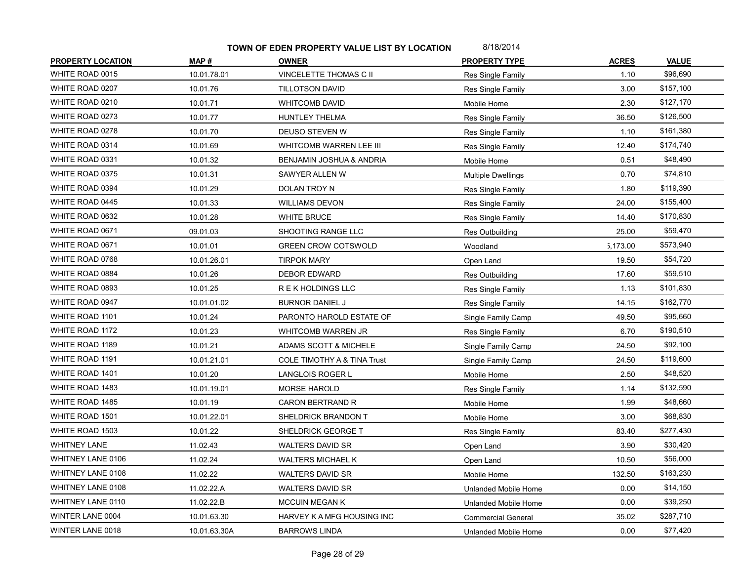| <b>PROPERTY LOCATION</b> | MAP#         | <b>OWNER</b>                           | <b>PROPERTY TYPE</b>      | <b>ACRES</b> | <b>VALUE</b> |
|--------------------------|--------------|----------------------------------------|---------------------------|--------------|--------------|
| WHITE ROAD 0015          | 10.01.78.01  | VINCELETTE THOMAS C II                 | Res Single Family         | 1.10         | \$96,690     |
| WHITE ROAD 0207          | 10.01.76     | <b>TILLOTSON DAVID</b>                 | Res Single Family         | 3.00         | \$157,100    |
| WHITE ROAD 0210          | 10.01.71     | WHITCOMB DAVID                         | Mobile Home               | 2.30         | \$127,170    |
| WHITE ROAD 0273          | 10.01.77     | HUNTLEY THELMA                         | Res Single Family         | 36.50        | \$126,500    |
| WHITE ROAD 0278          | 10.01.70     | DEUSO STEVEN W                         | Res Single Family         | 1.10         | \$161,380    |
| WHITE ROAD 0314          | 10.01.69     | WHITCOMB WARREN LEE III                | Res Single Family         | 12.40        | \$174,740    |
| WHITE ROAD 0331          | 10.01.32     | BENJAMIN JOSHUA & ANDRIA               | Mobile Home               | 0.51         | \$48,490     |
| WHITE ROAD 0375          | 10.01.31     | SAWYER ALLEN W                         | <b>Multiple Dwellings</b> | 0.70         | \$74,810     |
| WHITE ROAD 0394          | 10.01.29     | DOLAN TROY N                           | Res Single Family         | 1.80         | \$119,390    |
| WHITE ROAD 0445          | 10.01.33     | <b>WILLIAMS DEVON</b>                  | Res Single Family         | 24.00        | \$155,400    |
| WHITE ROAD 0632          | 10.01.28     | <b>WHITE BRUCE</b>                     | Res Single Family         | 14.40        | \$170,830    |
| WHITE ROAD 0671          | 09.01.03     | SHOOTING RANGE LLC                     | Res Outbuilding           | 25.00        | \$59,470     |
| WHITE ROAD 0671          | 10.01.01     | <b>GREEN CROW COTSWOLD</b>             | Woodland                  | 5,173.00     | \$573,940    |
| WHITE ROAD 0768          | 10.01.26.01  | <b>TIRPOK MARY</b>                     | Open Land                 | 19.50        | \$54,720     |
| WHITE ROAD 0884          | 10.01.26     | <b>DEBOR EDWARD</b>                    | Res Outbuilding           | 17.60        | \$59,510     |
| WHITE ROAD 0893          | 10.01.25     | R E K HOLDINGS LLC                     | Res Single Family         | 1.13         | \$101,830    |
| WHITE ROAD 0947          | 10.01.01.02  | <b>BURNOR DANIEL J</b>                 | Res Single Family         | 14.15        | \$162,770    |
| WHITE ROAD 1101          | 10.01.24     | PARONTO HAROLD ESTATE OF               | Single Family Camp        | 49.50        | \$95,660     |
| WHITE ROAD 1172          | 10.01.23     | WHITCOMB WARREN JR                     | Res Single Family         | 6.70         | \$190,510    |
| WHITE ROAD 1189          | 10.01.21     | ADAMS SCOTT & MICHELE                  | Single Family Camp        | 24.50        | \$92,100     |
| WHITE ROAD 1191          | 10.01.21.01  | <b>COLE TIMOTHY A &amp; TINA Trust</b> | Single Family Camp        | 24.50        | \$119,600    |
| WHITE ROAD 1401          | 10.01.20     | <b>LANGLOIS ROGER L</b>                | Mobile Home               | 2.50         | \$48,520     |
| WHITE ROAD 1483          | 10.01.19.01  | <b>MORSE HAROLD</b>                    | Res Single Family         | 1.14         | \$132,590    |
| WHITE ROAD 1485          | 10.01.19     | <b>CARON BERTRAND R</b>                | Mobile Home               | 1.99         | \$48,660     |
| WHITE ROAD 1501          | 10.01.22.01  | SHELDRICK BRANDON T                    | Mobile Home               | 3.00         | \$68,830     |
| WHITE ROAD 1503          | 10.01.22     | SHELDRICK GEORGE T                     | Res Single Family         | 83.40        | \$277,430    |
| <b>WHITNEY LANE</b>      | 11.02.43     | <b>WALTERS DAVID SR</b>                | Open Land                 | 3.90         | \$30,420     |
| WHITNEY LANE 0106        | 11.02.24     | <b>WALTERS MICHAEL K</b>               | Open Land                 | 10.50        | \$56,000     |
| WHITNEY LANE 0108        | 11.02.22     | <b>WALTERS DAVID SR</b>                | Mobile Home               | 132.50       | \$163,230    |
| WHITNEY LANE 0108        | 11.02.22.A   | <b>WALTERS DAVID SR</b>                | Unlanded Mobile Home      | 0.00         | \$14,150     |
| WHITNEY LANE 0110        | 11.02.22.B   | <b>MCCUIN MEGAN K</b>                  | Unlanded Mobile Home      | 0.00         | \$39,250     |
| WINTER LANE 0004         | 10.01.63.30  | HARVEY K A MFG HOUSING INC             | <b>Commercial General</b> | 35.02        | \$287,710    |
| WINTER LANE 0018         | 10.01.63.30A | <b>BARROWS LINDA</b>                   | Unlanded Mobile Home      | 0.00         | \$77,420     |